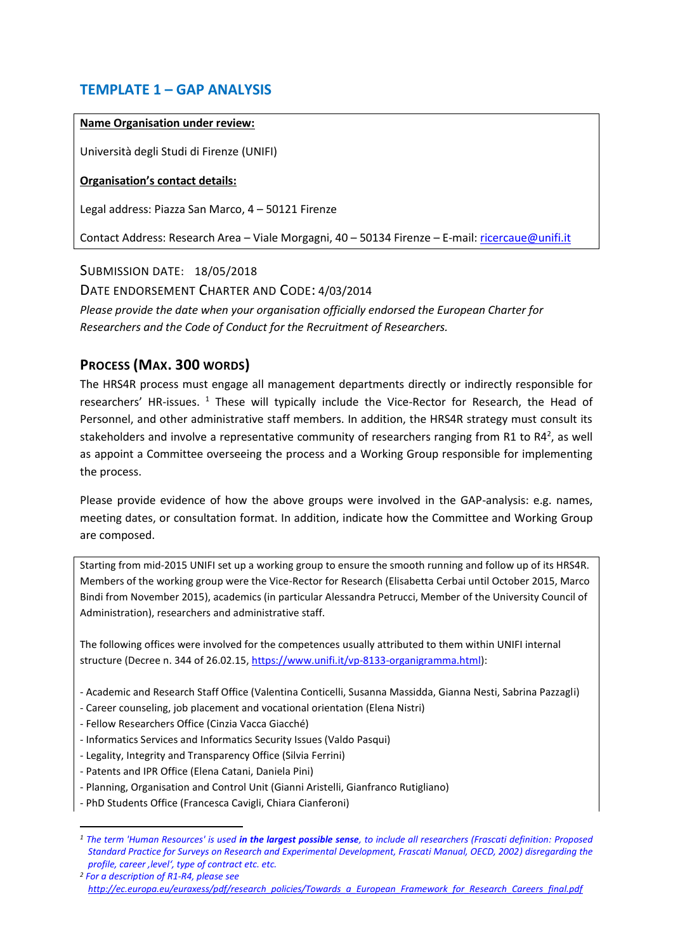## **TEMPLATE 1 – GAP ANALYSIS**

#### **Name Organisation under review:**

Università degli Studi di Firenze (UNIFI)

### **Organisation's contact details:**

Legal address: Piazza San Marco, 4 – 50121 Firenze

Contact Address: Research Area - Viale Morgagni, 40 - 50134 Firenze - E-mail: [ricercaue@unifi.it](mailto:ricercaue@unifi.it)

SUBMISSION DATE: 18/05/2018 DATE ENDORSEMENT CHARTER AND CODE: 4/03/2014 *Please provide the date when your organisation officially endorsed the European Charter for Researchers and the Code of Conduct for the Recruitment of Researchers.*

## **PROCESS (MAX. 300 WORDS)**

The HRS4R process must engage all management departments directly or indirectly responsible for researchers' HR-issues. <sup>1</sup> These will typically include the Vice-Rector for Research, the Head of Personnel, and other administrative staff members. In addition, the HRS4R strategy must consult its stakeholders and involve a representative community of researchers ranging from R1 to R4<sup>2</sup>, as well as appoint a Committee overseeing the process and a Working Group responsible for implementing the process.

Please provide evidence of how the above groups were involved in the GAP-analysis: e.g. names, meeting dates, or consultation format. In addition, indicate how the Committee and Working Group are composed.

Starting from mid-2015 UNIFI set up a working group to ensure the smooth running and follow up of its HRS4R. Members of the working group were the Vice-Rector for Research (Elisabetta Cerbai until October 2015, Marco Bindi from November 2015), academics (in particular Alessandra Petrucci, Member of the University Council of Administration), researchers and administrative staff.

The following offices were involved for the competences usually attributed to them within UNIFI internal structure (Decree n. 344 of 26.02.15, [https://www.unifi.it/vp-8133-organigramma.html\)](https://www.unifi.it/vp-8133-organigramma.html):

- Academic and Research Staff Office (Valentina Conticelli, Susanna Massidda, Gianna Nesti, Sabrina Pazzagli)
- Career counseling, job placement and vocational orientation (Elena Nistri)
- Fellow Researchers Office (Cinzia Vacca Giacché)
- Informatics Services and Informatics Security Issues (Valdo Pasqui)
- Legality, Integrity and Transparency Office (Silvia Ferrini)
- Patents and IPR Office (Elena Catani, Daniela Pini)

**.** 

- Planning, Organisation and Control Unit (Gianni Aristelli, Gianfranco Rutigliano)
- PhD Students Office (Francesca Cavigli, Chiara Cianferoni)

*<sup>1</sup> The term 'Human Resources' is used in the largest possible sense, to include all researchers (Frascati definition: Proposed Standard Practice for Surveys on Research and Experimental Development, Frascati Manual, OECD, 2002) disregarding the profile, career 'level', type of contract etc. etc.* 

*<sup>2</sup> For a description of R1-R4, please see [http://ec.europa.eu/euraxess/pdf/research\\_policies/Towards\\_a\\_European\\_Framework\\_for\\_Research\\_Careers\\_final.pdf](http://ec.europa.eu/euraxess/pdf/research_policies/Towards_a_European_Framework_for_Research_Careers_final.pdf)*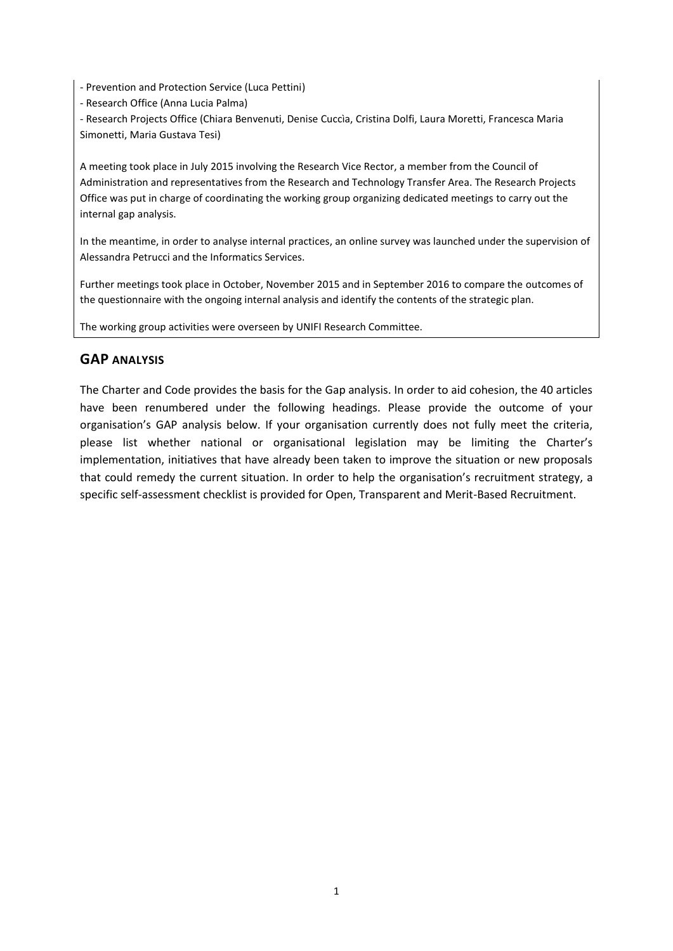- Prevention and Protection Service (Luca Pettini)

- Research Office (Anna Lucia Palma)

- Research Projects Office (Chiara Benvenuti, Denise Cuccìa, Cristina Dolfi, Laura Moretti, Francesca Maria Simonetti, Maria Gustava Tesi)

A meeting took place in July 2015 involving the Research Vice Rector, a member from the Council of Administration and representatives from the Research and Technology Transfer Area. The Research Projects Office was put in charge of coordinating the working group organizing dedicated meetings to carry out the internal gap analysis.

In the meantime, in order to analyse internal practices, an online survey was launched under the supervision of Alessandra Petrucci and the Informatics Services.

Further meetings took place in October, November 2015 and in September 2016 to compare the outcomes of the questionnaire with the ongoing internal analysis and identify the contents of the strategic plan.

The working group activities were overseen by UNIFI Research Committee.

### **GAP ANALYSIS**

The Charter and Code provides the basis for the Gap analysis. In order to aid cohesion, the 40 articles have been renumbered under the following headings. Please provide the outcome of your organisation's GAP analysis below. If your organisation currently does not fully meet the criteria, please list whether national or organisational legislation may be limiting the Charter's implementation, initiatives that have already been taken to improve the situation or new proposals that could remedy the current situation. In order to help the organisation's recruitment strategy, a specific self-assessment checklist is provided for Open, Transparent and Merit-Based Recruitment.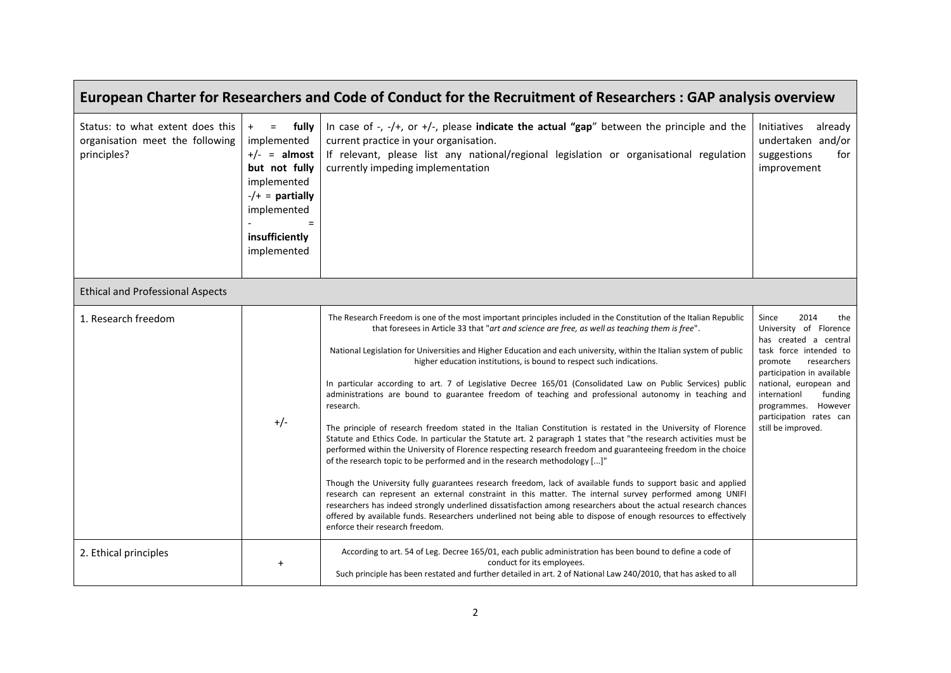| European Charter for Researchers and Code of Conduct for the Recruitment of Researchers: GAP analysis overview |                                                                                                                                                               |                                                                                                                                                                                                                                                                                                                                                                                                                                                                                                                                                                                                                                                                                                                                                                                                                                                                                                                                                                                                                                                                                                                                                                                                                                                                                                                                                                                                                                                                                                                                                                                                   |                                                                                                                                                                                                                                                                                        |  |
|----------------------------------------------------------------------------------------------------------------|---------------------------------------------------------------------------------------------------------------------------------------------------------------|---------------------------------------------------------------------------------------------------------------------------------------------------------------------------------------------------------------------------------------------------------------------------------------------------------------------------------------------------------------------------------------------------------------------------------------------------------------------------------------------------------------------------------------------------------------------------------------------------------------------------------------------------------------------------------------------------------------------------------------------------------------------------------------------------------------------------------------------------------------------------------------------------------------------------------------------------------------------------------------------------------------------------------------------------------------------------------------------------------------------------------------------------------------------------------------------------------------------------------------------------------------------------------------------------------------------------------------------------------------------------------------------------------------------------------------------------------------------------------------------------------------------------------------------------------------------------------------------------|----------------------------------------------------------------------------------------------------------------------------------------------------------------------------------------------------------------------------------------------------------------------------------------|--|
| Status: to what extent does this<br>organisation meet the following<br>principles?                             | $=$ fully<br>$+$<br>implemented<br>$+/-$ = almost<br>but not fully<br>implemented<br>$-/-$ = partially<br>implemented<br>$=$<br>insufficiently<br>implemented | In case of $-$ , $-$ /+, or +/-, please indicate the actual "gap" between the principle and the<br>current practice in your organisation.<br>If relevant, please list any national/regional legislation or organisational regulation<br>currently impeding implementation                                                                                                                                                                                                                                                                                                                                                                                                                                                                                                                                                                                                                                                                                                                                                                                                                                                                                                                                                                                                                                                                                                                                                                                                                                                                                                                         | Initiatives<br>already<br>undertaken and/or<br>suggestions<br>for<br>improvement                                                                                                                                                                                                       |  |
| <b>Ethical and Professional Aspects</b>                                                                        |                                                                                                                                                               |                                                                                                                                                                                                                                                                                                                                                                                                                                                                                                                                                                                                                                                                                                                                                                                                                                                                                                                                                                                                                                                                                                                                                                                                                                                                                                                                                                                                                                                                                                                                                                                                   |                                                                                                                                                                                                                                                                                        |  |
| 1. Research freedom                                                                                            | $+/-$                                                                                                                                                         | The Research Freedom is one of the most important principles included in the Constitution of the Italian Republic<br>that foresees in Article 33 that "art and science are free, as well as teaching them is free".<br>National Legislation for Universities and Higher Education and each university, within the Italian system of public<br>higher education institutions, is bound to respect such indications.<br>In particular according to art. 7 of Legislative Decree 165/01 (Consolidated Law on Public Services) public<br>administrations are bound to guarantee freedom of teaching and professional autonomy in teaching and<br>research.<br>The principle of research freedom stated in the Italian Constitution is restated in the University of Florence<br>Statute and Ethics Code. In particular the Statute art. 2 paragraph 1 states that "the research activities must be<br>performed within the University of Florence respecting research freedom and guaranteeing freedom in the choice<br>of the research topic to be performed and in the research methodology []"<br>Though the University fully guarantees research freedom, lack of available funds to support basic and applied<br>research can represent an external constraint in this matter. The internal survey performed among UNIFI<br>researchers has indeed strongly underlined dissatisfaction among researchers about the actual research chances<br>offered by available funds. Researchers underlined not being able to dispose of enough resources to effectively<br>enforce their research freedom. | Since<br>2014<br>the<br>University of Florence<br>has created a central<br>task force intended to<br>researchers<br>promote<br>participation in available<br>national, european and<br>internationl<br>funding<br>programmes. However<br>participation rates can<br>still be improved. |  |
| 2. Ethical principles                                                                                          | $\ddot{}$                                                                                                                                                     | According to art. 54 of Leg. Decree 165/01, each public administration has been bound to define a code of<br>conduct for its employees.<br>Such principle has been restated and further detailed in art. 2 of National Law 240/2010, that has asked to all                                                                                                                                                                                                                                                                                                                                                                                                                                                                                                                                                                                                                                                                                                                                                                                                                                                                                                                                                                                                                                                                                                                                                                                                                                                                                                                                        |                                                                                                                                                                                                                                                                                        |  |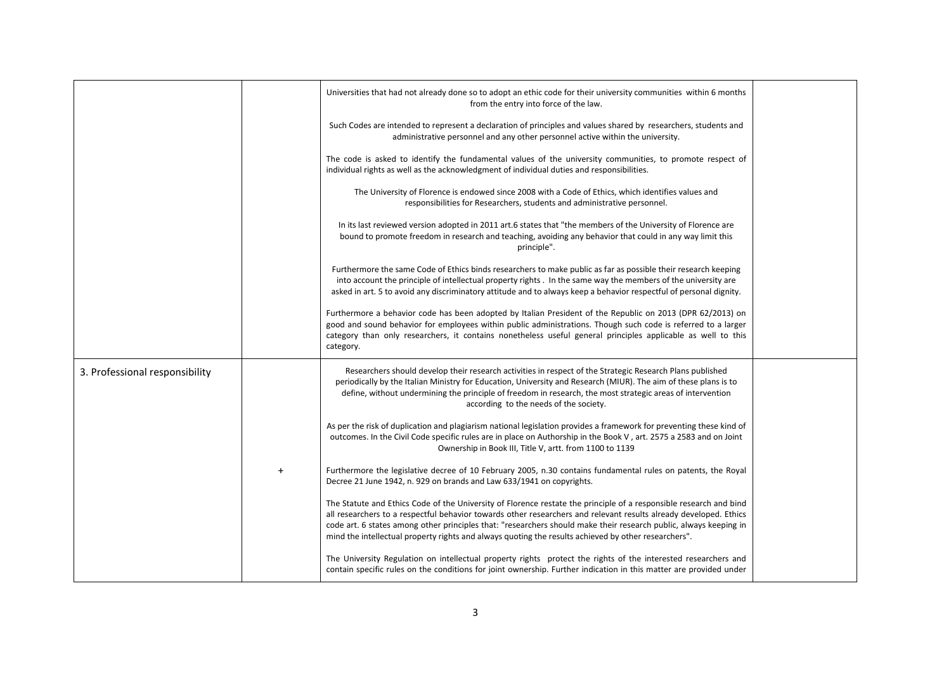|                                |           | Universities that had not already done so to adopt an ethic code for their university communities within 6 months<br>from the entry into force of the law.                                                                                                                                                                                                                                                                                                           |  |
|--------------------------------|-----------|----------------------------------------------------------------------------------------------------------------------------------------------------------------------------------------------------------------------------------------------------------------------------------------------------------------------------------------------------------------------------------------------------------------------------------------------------------------------|--|
|                                |           | Such Codes are intended to represent a declaration of principles and values shared by researchers, students and<br>administrative personnel and any other personnel active within the university.                                                                                                                                                                                                                                                                    |  |
|                                |           | The code is asked to identify the fundamental values of the university communities, to promote respect of<br>individual rights as well as the acknowledgment of individual duties and responsibilities.                                                                                                                                                                                                                                                              |  |
|                                |           | The University of Florence is endowed since 2008 with a Code of Ethics, which identifies values and<br>responsibilities for Researchers, students and administrative personnel.                                                                                                                                                                                                                                                                                      |  |
|                                |           | In its last reviewed version adopted in 2011 art.6 states that "the members of the University of Florence are<br>bound to promote freedom in research and teaching, avoiding any behavior that could in any way limit this<br>principle".                                                                                                                                                                                                                            |  |
|                                |           | Furthermore the same Code of Ethics binds researchers to make public as far as possible their research keeping<br>into account the principle of intellectual property rights . In the same way the members of the university are<br>asked in art. 5 to avoid any discriminatory attitude and to always keep a behavior respectful of personal dignity.                                                                                                               |  |
|                                |           | Furthermore a behavior code has been adopted by Italian President of the Republic on 2013 (DPR 62/2013) on<br>good and sound behavior for employees within public administrations. Though such code is referred to a larger<br>category than only researchers, it contains nonetheless useful general principles applicable as well to this<br>category.                                                                                                             |  |
| 3. Professional responsibility |           | Researchers should develop their research activities in respect of the Strategic Research Plans published<br>periodically by the Italian Ministry for Education, University and Research (MIUR). The aim of these plans is to<br>define, without undermining the principle of freedom in research, the most strategic areas of intervention<br>according to the needs of the society.                                                                                |  |
|                                |           | As per the risk of duplication and plagiarism national legislation provides a framework for preventing these kind of<br>outcomes. In the Civil Code specific rules are in place on Authorship in the Book V, art. 2575 a 2583 and on Joint<br>Ownership in Book III, Title V, artt. from 1100 to 1139                                                                                                                                                                |  |
|                                | $\ddot{}$ | Furthermore the legislative decree of 10 February 2005, n.30 contains fundamental rules on patents, the Royal<br>Decree 21 June 1942, n. 929 on brands and Law 633/1941 on copyrights.                                                                                                                                                                                                                                                                               |  |
|                                |           | The Statute and Ethics Code of the University of Florence restate the principle of a responsible research and bind<br>all researchers to a respectful behavior towards other researchers and relevant results already developed. Ethics<br>code art. 6 states among other principles that: "researchers should make their research public, always keeping in<br>mind the intellectual property rights and always quoting the results achieved by other researchers". |  |
|                                |           | The University Regulation on intellectual property rights protect the rights of the interested researchers and<br>contain specific rules on the conditions for joint ownership. Further indication in this matter are provided under                                                                                                                                                                                                                                 |  |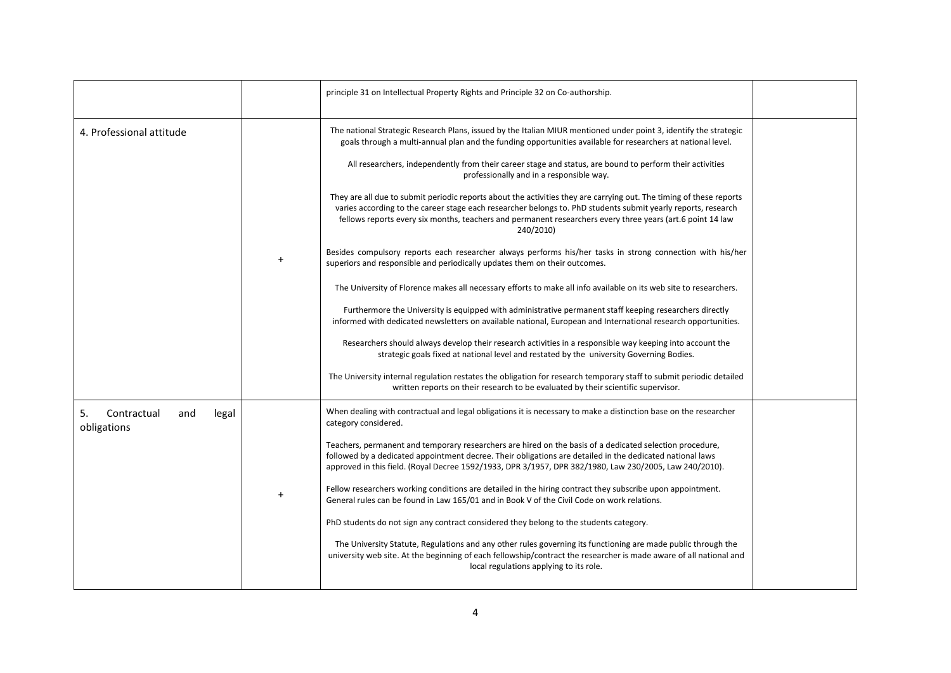|                                                  | principle 31 on Intellectual Property Rights and Principle 32 on Co-authorship.                                                                                                                                                                                                                                                                                                                                                                                                                                                                                                                                                                                                                                                                                                                                                                                                                                                                                                                                                                                                                                                                                                                                                                                                                                                                                                                                                                                                                                                                                                                                                                                                                                                |  |
|--------------------------------------------------|--------------------------------------------------------------------------------------------------------------------------------------------------------------------------------------------------------------------------------------------------------------------------------------------------------------------------------------------------------------------------------------------------------------------------------------------------------------------------------------------------------------------------------------------------------------------------------------------------------------------------------------------------------------------------------------------------------------------------------------------------------------------------------------------------------------------------------------------------------------------------------------------------------------------------------------------------------------------------------------------------------------------------------------------------------------------------------------------------------------------------------------------------------------------------------------------------------------------------------------------------------------------------------------------------------------------------------------------------------------------------------------------------------------------------------------------------------------------------------------------------------------------------------------------------------------------------------------------------------------------------------------------------------------------------------------------------------------------------------|--|
| 4. Professional attitude                         | The national Strategic Research Plans, issued by the Italian MIUR mentioned under point 3, identify the strategic<br>goals through a multi-annual plan and the funding opportunities available for researchers at national level.<br>All researchers, independently from their career stage and status, are bound to perform their activities<br>professionally and in a responsible way.<br>They are all due to submit periodic reports about the activities they are carrying out. The timing of these reports<br>varies according to the career stage each researcher belongs to. PhD students submit yearly reports, research<br>fellows reports every six months, teachers and permanent researchers every three years (art.6 point 14 law<br>240/2010)<br>Besides compulsory reports each researcher always performs his/her tasks in strong connection with his/her<br>superiors and responsible and periodically updates them on their outcomes.<br>The University of Florence makes all necessary efforts to make all info available on its web site to researchers.<br>Furthermore the University is equipped with administrative permanent staff keeping researchers directly<br>informed with dedicated newsletters on available national, European and International research opportunities.<br>Researchers should always develop their research activities in a responsible way keeping into account the<br>strategic goals fixed at national level and restated by the university Governing Bodies.<br>The University internal regulation restates the obligation for research temporary staff to submit periodic detailed<br>written reports on their research to be evaluated by their scientific supervisor. |  |
| 5.<br>Contractual<br>and<br>legal<br>obligations | When dealing with contractual and legal obligations it is necessary to make a distinction base on the researcher<br>category considered.<br>Teachers, permanent and temporary researchers are hired on the basis of a dedicated selection procedure,<br>followed by a dedicated appointment decree. Their obligations are detailed in the dedicated national laws<br>approved in this field. (Royal Decree 1592/1933, DPR 3/1957, DPR 382/1980, Law 230/2005, Law 240/2010).<br>Fellow researchers working conditions are detailed in the hiring contract they subscribe upon appointment.<br>General rules can be found in Law 165/01 and in Book V of the Civil Code on work relations.<br>PhD students do not sign any contract considered they belong to the students category.<br>The University Statute, Regulations and any other rules governing its functioning are made public through the<br>university web site. At the beginning of each fellowship/contract the researcher is made aware of all national and<br>local regulations applying to its role.                                                                                                                                                                                                                                                                                                                                                                                                                                                                                                                                                                                                                                                          |  |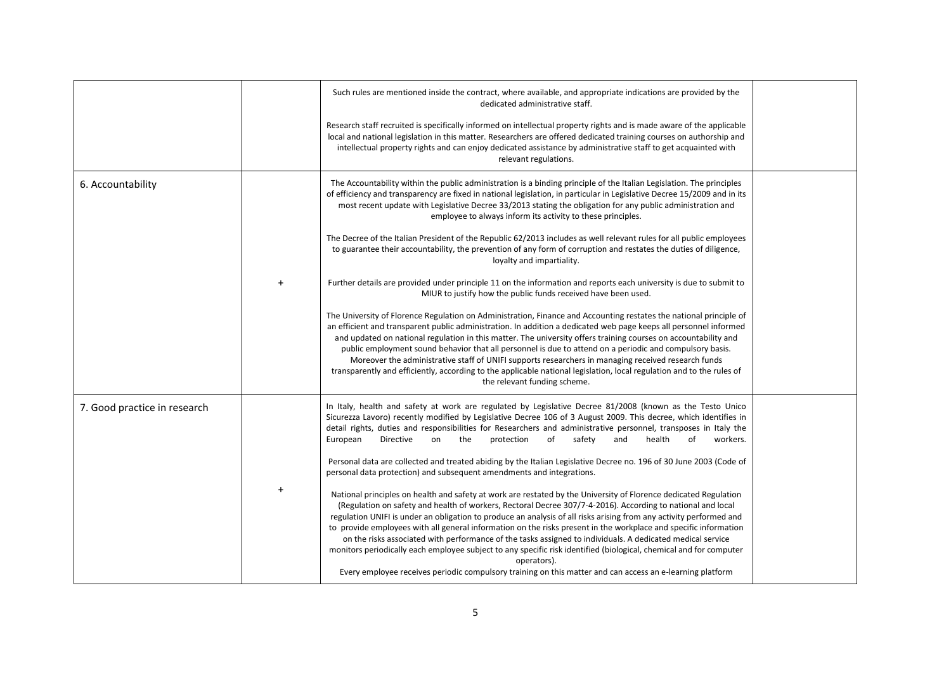|                              |           | Such rules are mentioned inside the contract, where available, and appropriate indications are provided by the<br>dedicated administrative staff.                                                                                                                                                                                                                                                                                                                                                                                                                                                                                                                                                                                                                                                                                          |  |
|------------------------------|-----------|--------------------------------------------------------------------------------------------------------------------------------------------------------------------------------------------------------------------------------------------------------------------------------------------------------------------------------------------------------------------------------------------------------------------------------------------------------------------------------------------------------------------------------------------------------------------------------------------------------------------------------------------------------------------------------------------------------------------------------------------------------------------------------------------------------------------------------------------|--|
|                              |           | Research staff recruited is specifically informed on intellectual property rights and is made aware of the applicable<br>local and national legislation in this matter. Researchers are offered dedicated training courses on authorship and<br>intellectual property rights and can enjoy dedicated assistance by administrative staff to get acquainted with<br>relevant regulations.                                                                                                                                                                                                                                                                                                                                                                                                                                                    |  |
| 6. Accountability            |           | The Accountability within the public administration is a binding principle of the Italian Legislation. The principles<br>of efficiency and transparency are fixed in national legislation, in particular in Legislative Decree 15/2009 and in its<br>most recent update with Legislative Decree 33/2013 stating the obligation for any public administration and<br>employee to always inform its activity to these principles.                                                                                                                                                                                                                                                                                                                                                                                                            |  |
|                              |           | The Decree of the Italian President of the Republic 62/2013 includes as well relevant rules for all public employees<br>to guarantee their accountability, the prevention of any form of corruption and restates the duties of diligence,<br>loyalty and impartiality.                                                                                                                                                                                                                                                                                                                                                                                                                                                                                                                                                                     |  |
|                              | $\ddot{}$ | Further details are provided under principle 11 on the information and reports each university is due to submit to<br>MIUR to justify how the public funds received have been used.                                                                                                                                                                                                                                                                                                                                                                                                                                                                                                                                                                                                                                                        |  |
|                              |           | The University of Florence Regulation on Administration, Finance and Accounting restates the national principle of<br>an efficient and transparent public administration. In addition a dedicated web page keeps all personnel informed<br>and updated on national regulation in this matter. The university offers training courses on accountability and<br>public employment sound behavior that all personnel is due to attend on a periodic and compulsory basis.<br>Moreover the administrative staff of UNIFI supports researchers in managing received research funds<br>transparently and efficiently, according to the applicable national legislation, local regulation and to the rules of<br>the relevant funding scheme.                                                                                                     |  |
| 7. Good practice in research |           | In Italy, health and safety at work are regulated by Legislative Decree 81/2008 (known as the Testo Unico<br>Sicurezza Lavoro) recently modified by Legislative Decree 106 of 3 August 2009. This decree, which identifies in<br>detail rights, duties and responsibilities for Researchers and administrative personnel, transposes in Italy the<br>protection<br>safety<br>and<br>health<br>of<br>European<br>Directive<br>on<br>the<br>of<br>workers.<br>Personal data are collected and treated abiding by the Italian Legislative Decree no. 196 of 30 June 2003 (Code of<br>personal data protection) and subsequent amendments and integrations.                                                                                                                                                                                    |  |
|                              | $+$       | National principles on health and safety at work are restated by the University of Florence dedicated Regulation<br>(Regulation on safety and health of workers, Rectoral Decree 307/7-4-2016). According to national and local<br>regulation UNIFI is under an obligation to produce an analysis of all risks arising from any activity performed and<br>to provide employees with all general information on the risks present in the workplace and specific information<br>on the risks associated with performance of the tasks assigned to individuals. A dedicated medical service<br>monitors periodically each employee subject to any specific risk identified (biological, chemical and for computer<br>operators).<br>Every employee receives periodic compulsory training on this matter and can access an e-learning platform |  |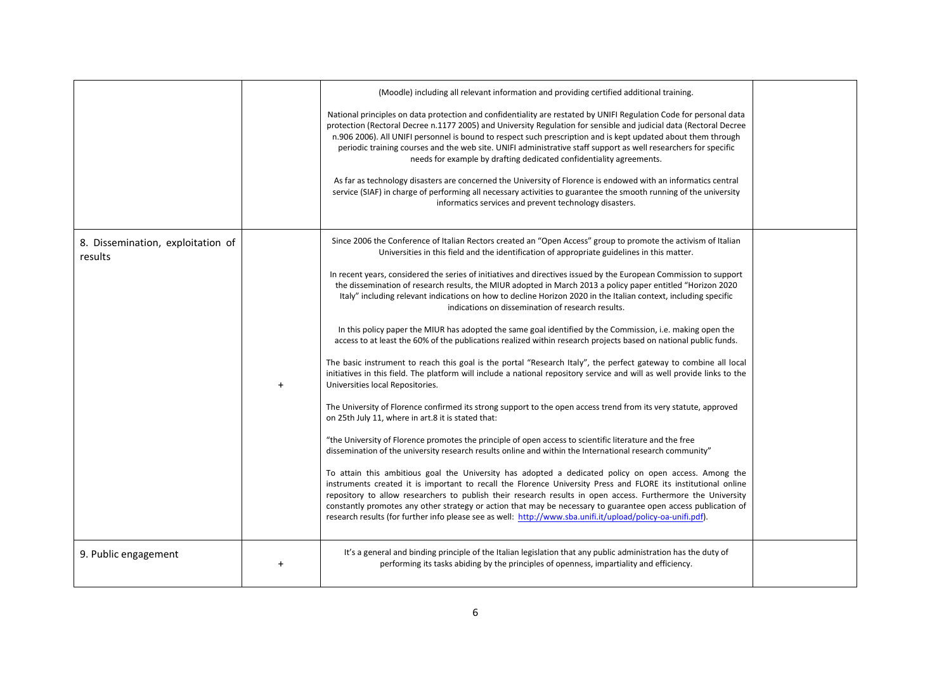|                                              | (Moodle) including all relevant information and providing certified additional training.<br>National principles on data protection and confidentiality are restated by UNIFI Regulation Code for personal data<br>protection (Rectoral Decree n.1177 2005) and University Regulation for sensible and judicial data (Rectoral Decree<br>n.906 2006). All UNIFI personnel is bound to respect such prescription and is kept updated about them through<br>periodic training courses and the web site. UNIFI administrative staff support as well researchers for specific<br>needs for example by drafting dedicated confidentiality agreements.<br>As far as technology disasters are concerned the University of Florence is endowed with an informatics central<br>service (SIAF) in charge of performing all necessary activities to guarantee the smooth running of the university<br>informatics services and prevent technology disasters.                                                                                                                                                                                                                                                                                                                                                                                                                                                                                                                                                                                                                                                                                                                                                                                                                                                                                                                                                                                                                                                                                                                                                                             |  |
|----------------------------------------------|------------------------------------------------------------------------------------------------------------------------------------------------------------------------------------------------------------------------------------------------------------------------------------------------------------------------------------------------------------------------------------------------------------------------------------------------------------------------------------------------------------------------------------------------------------------------------------------------------------------------------------------------------------------------------------------------------------------------------------------------------------------------------------------------------------------------------------------------------------------------------------------------------------------------------------------------------------------------------------------------------------------------------------------------------------------------------------------------------------------------------------------------------------------------------------------------------------------------------------------------------------------------------------------------------------------------------------------------------------------------------------------------------------------------------------------------------------------------------------------------------------------------------------------------------------------------------------------------------------------------------------------------------------------------------------------------------------------------------------------------------------------------------------------------------------------------------------------------------------------------------------------------------------------------------------------------------------------------------------------------------------------------------------------------------------------------------------------------------------------------------|--|
| 8. Dissemination, exploitation of<br>results | Since 2006 the Conference of Italian Rectors created an "Open Access" group to promote the activism of Italian<br>Universities in this field and the identification of appropriate guidelines in this matter.<br>In recent years, considered the series of initiatives and directives issued by the European Commission to support<br>the dissemination of research results, the MIUR adopted in March 2013 a policy paper entitled "Horizon 2020<br>Italy" including relevant indications on how to decline Horizon 2020 in the Italian context, including specific<br>indications on dissemination of research results.<br>In this policy paper the MIUR has adopted the same goal identified by the Commission, i.e. making open the<br>access to at least the 60% of the publications realized within research projects based on national public funds.<br>The basic instrument to reach this goal is the portal "Research Italy", the perfect gateway to combine all local<br>initiatives in this field. The platform will include a national repository service and will as well provide links to the<br>Universities local Repositories.<br>The University of Florence confirmed its strong support to the open access trend from its very statute, approved<br>on 25th July 11, where in art.8 it is stated that:<br>"the University of Florence promotes the principle of open access to scientific literature and the free<br>dissemination of the university research results online and within the International research community"<br>To attain this ambitious goal the University has adopted a dedicated policy on open access. Among the<br>instruments created it is important to recall the Florence University Press and FLORE its institutional online<br>repository to allow researchers to publish their research results in open access. Furthermore the University<br>constantly promotes any other strategy or action that may be necessary to guarantee open access publication of<br>research results (for further info please see as well: http://www.sba.unifi.it/upload/policy-oa-unifi.pdf). |  |
| 9. Public engagement                         | It's a general and binding principle of the Italian legislation that any public administration has the duty of<br>performing its tasks abiding by the principles of openness, impartiality and efficiency.                                                                                                                                                                                                                                                                                                                                                                                                                                                                                                                                                                                                                                                                                                                                                                                                                                                                                                                                                                                                                                                                                                                                                                                                                                                                                                                                                                                                                                                                                                                                                                                                                                                                                                                                                                                                                                                                                                                   |  |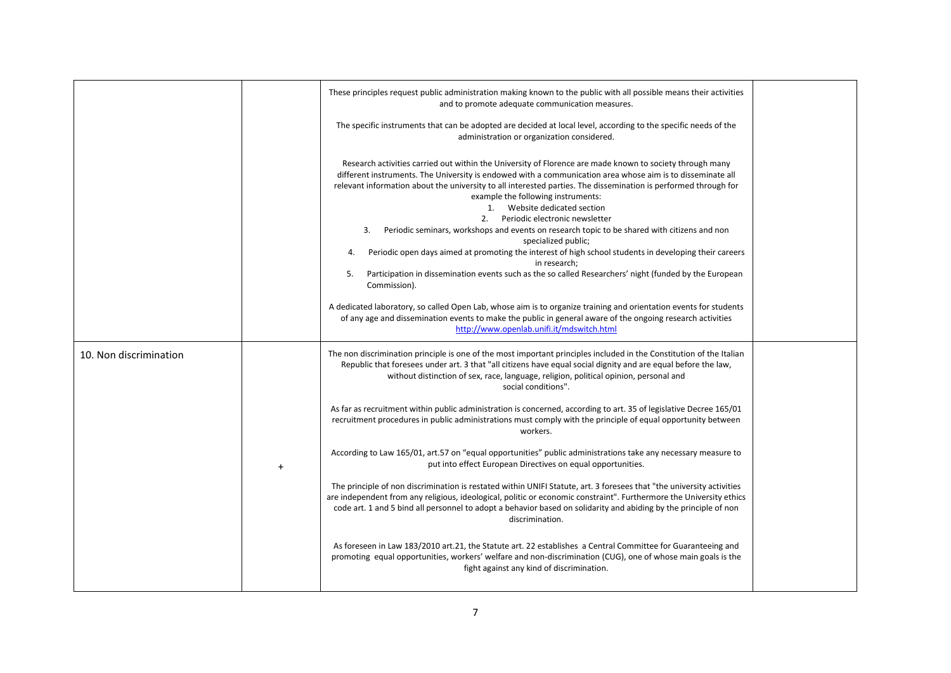|                        |           | These principles request public administration making known to the public with all possible means their activities<br>and to promote adequate communication measures.                                                                                                                                                                                                                                                                                                                                                                                                                                                                                                                                                                                                                                                                             |  |
|------------------------|-----------|---------------------------------------------------------------------------------------------------------------------------------------------------------------------------------------------------------------------------------------------------------------------------------------------------------------------------------------------------------------------------------------------------------------------------------------------------------------------------------------------------------------------------------------------------------------------------------------------------------------------------------------------------------------------------------------------------------------------------------------------------------------------------------------------------------------------------------------------------|--|
|                        |           | The specific instruments that can be adopted are decided at local level, according to the specific needs of the<br>administration or organization considered.                                                                                                                                                                                                                                                                                                                                                                                                                                                                                                                                                                                                                                                                                     |  |
|                        |           | Research activities carried out within the University of Florence are made known to society through many<br>different instruments. The University is endowed with a communication area whose aim is to disseminate all<br>relevant information about the university to all interested parties. The dissemination is performed through for<br>example the following instruments:<br>1. Website dedicated section<br>2. Periodic electronic newsletter<br>Periodic seminars, workshops and events on research topic to be shared with citizens and non<br>3.<br>specialized public;<br>Periodic open days aimed at promoting the interest of high school students in developing their careers<br>4.<br>in research;<br>Participation in dissemination events such as the so called Researchers' night (funded by the European<br>5.<br>Commission). |  |
|                        |           | A dedicated laboratory, so called Open Lab, whose aim is to organize training and orientation events for students<br>of any age and dissemination events to make the public in general aware of the ongoing research activities<br>http://www.openlab.unifi.it/mdswitch.html                                                                                                                                                                                                                                                                                                                                                                                                                                                                                                                                                                      |  |
| 10. Non discrimination |           | The non discrimination principle is one of the most important principles included in the Constitution of the Italian<br>Republic that foresees under art. 3 that "all citizens have equal social dignity and are equal before the law,<br>without distinction of sex, race, language, religion, political opinion, personal and<br>social conditions".                                                                                                                                                                                                                                                                                                                                                                                                                                                                                            |  |
|                        |           | As far as recruitment within public administration is concerned, according to art. 35 of legislative Decree 165/01<br>recruitment procedures in public administrations must comply with the principle of equal opportunity between<br>workers.                                                                                                                                                                                                                                                                                                                                                                                                                                                                                                                                                                                                    |  |
|                        | $\ddot{}$ | According to Law 165/01, art.57 on "equal opportunities" public administrations take any necessary measure to<br>put into effect European Directives on equal opportunities.                                                                                                                                                                                                                                                                                                                                                                                                                                                                                                                                                                                                                                                                      |  |
|                        |           | The principle of non discrimination is restated within UNIFI Statute, art. 3 foresees that "the university activities<br>are independent from any religious, ideological, politic or economic constraint". Furthermore the University ethics<br>code art. 1 and 5 bind all personnel to adopt a behavior based on solidarity and abiding by the principle of non<br>discrimination.                                                                                                                                                                                                                                                                                                                                                                                                                                                               |  |
|                        |           | As foreseen in Law 183/2010 art.21, the Statute art. 22 establishes a Central Committee for Guaranteeing and<br>promoting equal opportunities, workers' welfare and non-discrimination (CUG), one of whose main goals is the<br>fight against any kind of discrimination.                                                                                                                                                                                                                                                                                                                                                                                                                                                                                                                                                                         |  |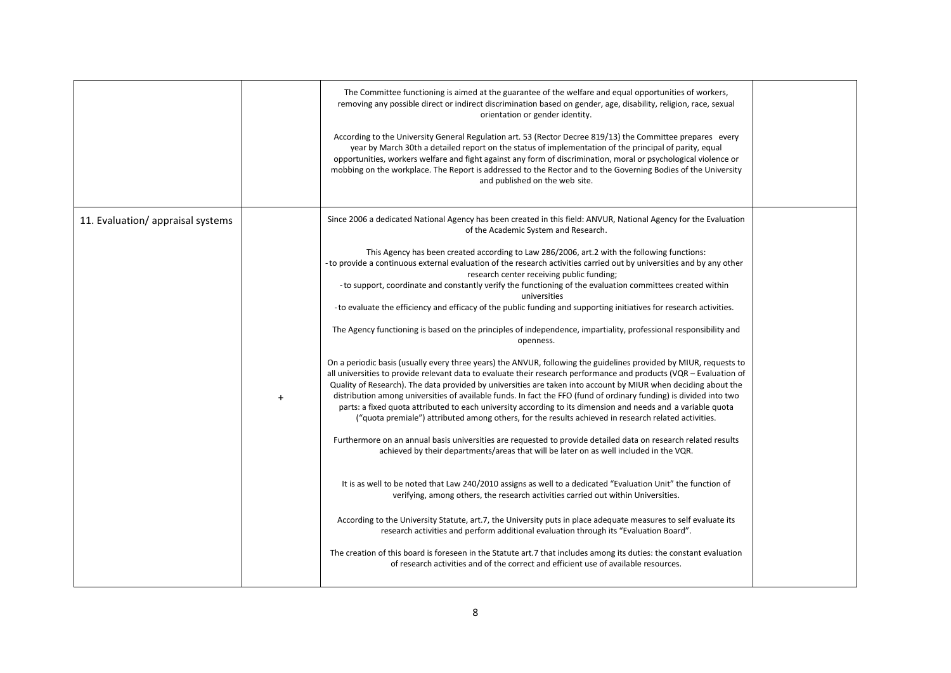|                                   |           | The Committee functioning is aimed at the guarantee of the welfare and equal opportunities of workers,<br>removing any possible direct or indirect discrimination based on gender, age, disability, religion, race, sexual<br>orientation or gender identity.<br>According to the University General Regulation art. 53 (Rector Decree 819/13) the Committee prepares every<br>year by March 30th a detailed report on the status of implementation of the principal of parity, equal<br>opportunities, workers welfare and fight against any form of discrimination, moral or psychological violence or<br>mobbing on the workplace. The Report is addressed to the Rector and to the Governing Bodies of the University<br>and published on the web site.                                                                                                                                                                                                                                                                                                                                                                                                                                                                                                                                                                                                                                                                                                                                                                                                                                                                                                                                                                                                                                                                                                                                                                                                                                                                                                                                                                                                                                                                                                                                                                                                               |  |
|-----------------------------------|-----------|---------------------------------------------------------------------------------------------------------------------------------------------------------------------------------------------------------------------------------------------------------------------------------------------------------------------------------------------------------------------------------------------------------------------------------------------------------------------------------------------------------------------------------------------------------------------------------------------------------------------------------------------------------------------------------------------------------------------------------------------------------------------------------------------------------------------------------------------------------------------------------------------------------------------------------------------------------------------------------------------------------------------------------------------------------------------------------------------------------------------------------------------------------------------------------------------------------------------------------------------------------------------------------------------------------------------------------------------------------------------------------------------------------------------------------------------------------------------------------------------------------------------------------------------------------------------------------------------------------------------------------------------------------------------------------------------------------------------------------------------------------------------------------------------------------------------------------------------------------------------------------------------------------------------------------------------------------------------------------------------------------------------------------------------------------------------------------------------------------------------------------------------------------------------------------------------------------------------------------------------------------------------------------------------------------------------------------------------------------------------------|--|
| 11. Evaluation/ appraisal systems | $\ddot{}$ | Since 2006 a dedicated National Agency has been created in this field: ANVUR, National Agency for the Evaluation<br>of the Academic System and Research.<br>This Agency has been created according to Law 286/2006, art.2 with the following functions:<br>- to provide a continuous external evaluation of the research activities carried out by universities and by any other<br>research center receiving public funding;<br>- to support, coordinate and constantly verify the functioning of the evaluation committees created within<br>universities<br>- to evaluate the efficiency and efficacy of the public funding and supporting initiatives for research activities.<br>The Agency functioning is based on the principles of independence, impartiality, professional responsibility and<br>openness.<br>On a periodic basis (usually every three years) the ANVUR, following the guidelines provided by MIUR, requests to<br>all universities to provide relevant data to evaluate their research performance and products (VQR – Evaluation of<br>Quality of Research). The data provided by universities are taken into account by MIUR when deciding about the<br>distribution among universities of available funds. In fact the FFO (fund of ordinary funding) is divided into two<br>parts: a fixed quota attributed to each university according to its dimension and needs and a variable quota<br>("quota premiale") attributed among others, for the results achieved in research related activities.<br>Furthermore on an annual basis universities are requested to provide detailed data on research related results<br>achieved by their departments/areas that will be later on as well included in the VQR.<br>It is as well to be noted that Law 240/2010 assigns as well to a dedicated "Evaluation Unit" the function of<br>verifying, among others, the research activities carried out within Universities.<br>According to the University Statute, art.7, the University puts in place adequate measures to self evaluate its<br>research activities and perform additional evaluation through its "Evaluation Board".<br>The creation of this board is foreseen in the Statute art.7 that includes among its duties: the constant evaluation<br>of research activities and of the correct and efficient use of available resources. |  |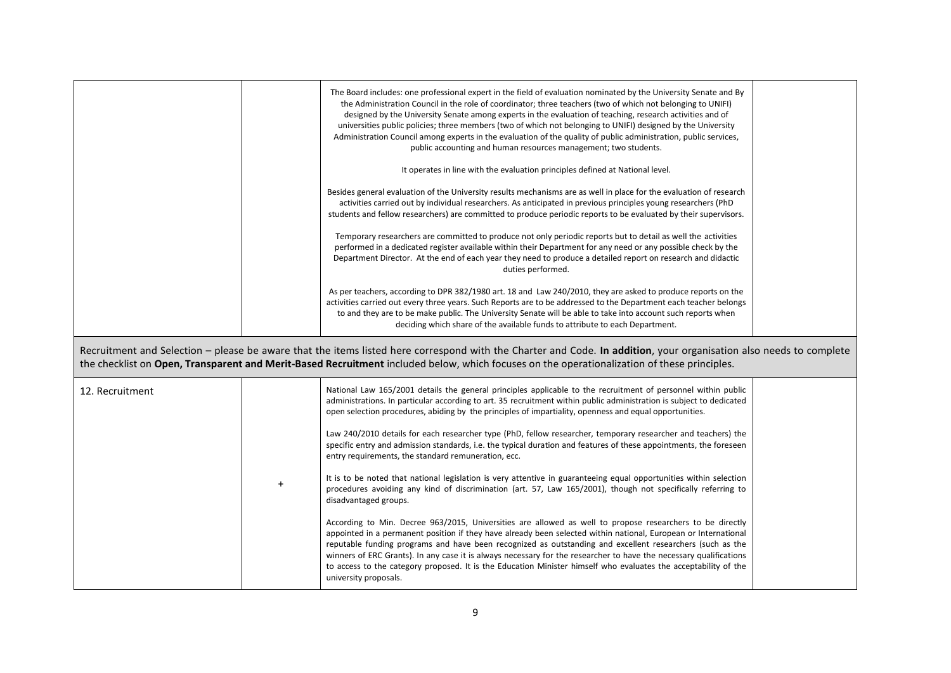|                 | The Board includes: one professional expert in the field of evaluation nominated by the University Senate and By<br>the Administration Council in the role of coordinator; three teachers (two of which not belonging to UNIFI)<br>designed by the University Senate among experts in the evaluation of teaching, research activities and of<br>universities public policies; three members (two of which not belonging to UNIFI) designed by the University<br>Administration Council among experts in the evaluation of the quality of public administration, public services,<br>public accounting and human resources management; two students.<br>It operates in line with the evaluation principles defined at National level.<br>Besides general evaluation of the University results mechanisms are as well in place for the evaluation of research<br>activities carried out by individual researchers. As anticipated in previous principles young researchers (PhD<br>students and fellow researchers) are committed to produce periodic reports to be evaluated by their supervisors.<br>Temporary researchers are committed to produce not only periodic reports but to detail as well the activities<br>performed in a dedicated register available within their Department for any need or any possible check by the<br>Department Director. At the end of each year they need to produce a detailed report on research and didactic<br>duties performed. |  |
|-----------------|--------------------------------------------------------------------------------------------------------------------------------------------------------------------------------------------------------------------------------------------------------------------------------------------------------------------------------------------------------------------------------------------------------------------------------------------------------------------------------------------------------------------------------------------------------------------------------------------------------------------------------------------------------------------------------------------------------------------------------------------------------------------------------------------------------------------------------------------------------------------------------------------------------------------------------------------------------------------------------------------------------------------------------------------------------------------------------------------------------------------------------------------------------------------------------------------------------------------------------------------------------------------------------------------------------------------------------------------------------------------------------------------------------------------------------------------------------------------------|--|
|                 | As per teachers, according to DPR 382/1980 art. 18 and Law 240/2010, they are asked to produce reports on the<br>activities carried out every three years. Such Reports are to be addressed to the Department each teacher belongs<br>to and they are to be make public. The University Senate will be able to take into account such reports when<br>deciding which share of the available funds to attribute to each Department.                                                                                                                                                                                                                                                                                                                                                                                                                                                                                                                                                                                                                                                                                                                                                                                                                                                                                                                                                                                                                                       |  |
|                 | Recruitment and Selection - please be aware that the items listed here correspond with the Charter and Code. In addition, your organisation also needs to complete<br>the checklist on Open, Transparent and Merit-Based Recruitment included below, which focuses on the operationalization of these principles.                                                                                                                                                                                                                                                                                                                                                                                                                                                                                                                                                                                                                                                                                                                                                                                                                                                                                                                                                                                                                                                                                                                                                        |  |
| 12. Recruitment | National Law 165/2001 details the general principles applicable to the recruitment of personnel within public<br>administrations. In particular according to art. 35 recruitment within public administration is subject to dedicated<br>open selection procedures, abiding by the principles of impartiality, openness and equal opportunities.<br>Law 240/2010 details for each researcher type (PhD, fellow researcher, temporary researcher and teachers) the<br>specific entry and admission standards, i.e. the typical duration and features of these appointments, the foreseen<br>entry requirements, the standard remuneration, ecc.                                                                                                                                                                                                                                                                                                                                                                                                                                                                                                                                                                                                                                                                                                                                                                                                                           |  |
|                 | It is to be noted that national legislation is very attentive in guaranteeing equal opportunities within selection<br>procedures avoiding any kind of discrimination (art. 57, Law 165/2001), though not specifically referring to<br>disadvantaged groups.<br>According to Min. Decree 963/2015, Universities are allowed as well to propose researchers to be directly                                                                                                                                                                                                                                                                                                                                                                                                                                                                                                                                                                                                                                                                                                                                                                                                                                                                                                                                                                                                                                                                                                 |  |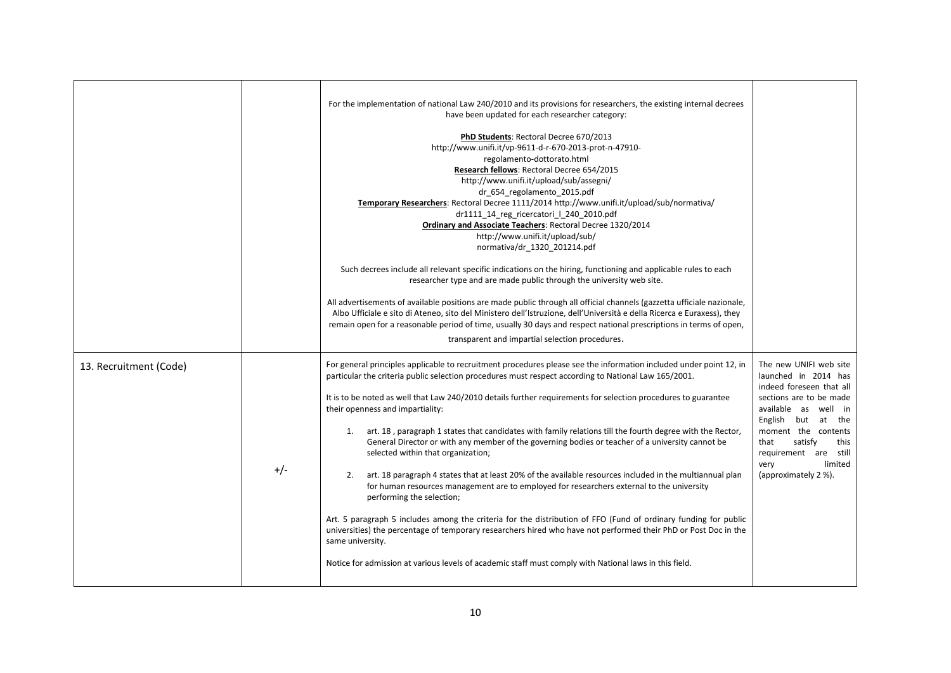|                        |       | For the implementation of national Law 240/2010 and its provisions for researchers, the existing internal decrees<br>have been updated for each researcher category:<br>PhD Students: Rectoral Decree 670/2013<br>http://www.unifi.it/vp-9611-d-r-670-2013-prot-n-47910-<br>regolamento-dottorato.html<br>Research fellows: Rectoral Decree 654/2015<br>http://www.unifi.it/upload/sub/assegni/<br>dr 654 regolamento 2015.pdf<br>Temporary Researchers: Rectoral Decree 1111/2014 http://www.unifi.it/upload/sub/normativa/<br>dr1111 14 reg ricercatori   240 2010.pdf<br>Ordinary and Associate Teachers: Rectoral Decree 1320/2014<br>http://www.unifi.it/upload/sub/<br>normativa/dr_1320_201214.pdf<br>Such decrees include all relevant specific indications on the hiring, functioning and applicable rules to each<br>researcher type and are made public through the university web site.<br>All advertisements of available positions are made public through all official channels (gazzetta ufficiale nazionale,<br>Albo Ufficiale e sito di Ateneo, sito del Ministero dell'Istruzione, dell'Università e della Ricerca e Euraxess), they<br>remain open for a reasonable period of time, usually 30 days and respect national prescriptions in terms of open,<br>transparent and impartial selection procedures. |                                                                                                                                                                                                                                                                           |
|------------------------|-------|---------------------------------------------------------------------------------------------------------------------------------------------------------------------------------------------------------------------------------------------------------------------------------------------------------------------------------------------------------------------------------------------------------------------------------------------------------------------------------------------------------------------------------------------------------------------------------------------------------------------------------------------------------------------------------------------------------------------------------------------------------------------------------------------------------------------------------------------------------------------------------------------------------------------------------------------------------------------------------------------------------------------------------------------------------------------------------------------------------------------------------------------------------------------------------------------------------------------------------------------------------------------------------------------------------------------------------|---------------------------------------------------------------------------------------------------------------------------------------------------------------------------------------------------------------------------------------------------------------------------|
| 13. Recruitment (Code) | $+/-$ | For general principles applicable to recruitment procedures please see the information included under point 12, in<br>particular the criteria public selection procedures must respect according to National Law 165/2001.<br>It is to be noted as well that Law 240/2010 details further requirements for selection procedures to guarantee<br>their openness and impartiality:<br>art. 18, paragraph 1 states that candidates with family relations till the fourth degree with the Rector,<br>1.<br>General Director or with any member of the governing bodies or teacher of a university cannot be<br>selected within that organization;<br>art. 18 paragraph 4 states that at least 20% of the available resources included in the multiannual plan<br>2.<br>for human resources management are to employed for researchers external to the university<br>performing the selection;<br>Art. 5 paragraph 5 includes among the criteria for the distribution of FFO (Fund of ordinary funding for public<br>universities) the percentage of temporary researchers hired who have not performed their PhD or Post Doc in the<br>same university.<br>Notice for admission at various levels of academic staff must comply with National laws in this field.                                                                   | The new UNIFI web site<br>launched in 2014 has<br>indeed foreseen that all<br>sections are to be made<br>available as well in<br>English but at the<br>moment the contents<br>satisfy<br>that<br>this<br>requirement are still<br>limited<br>very<br>(approximately 2 %). |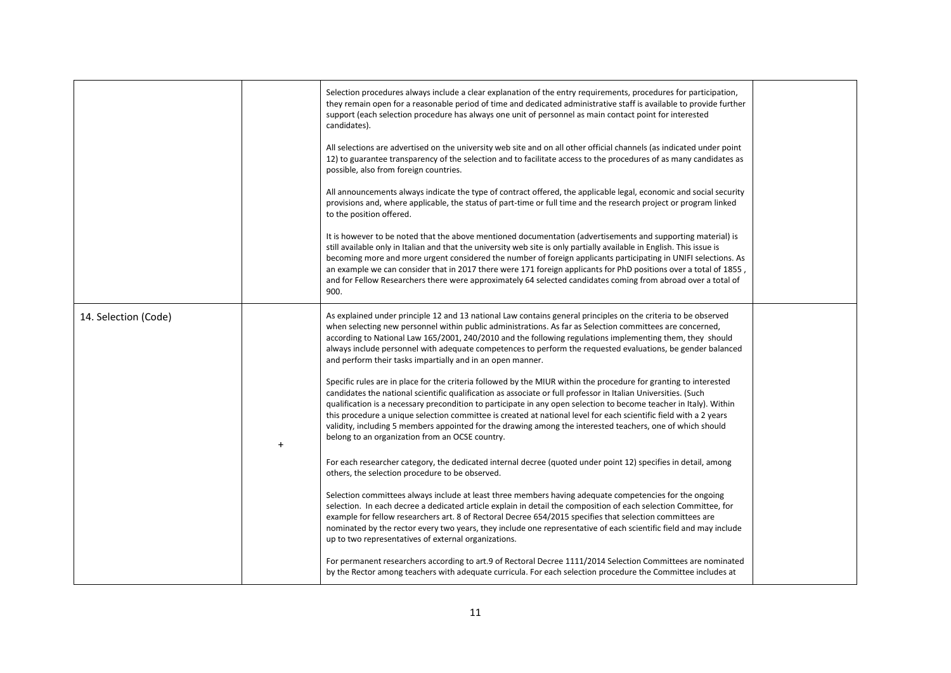|                      | Selection procedures always include a clear explanation of the entry requirements, procedures for participation,<br>they remain open for a reasonable period of time and dedicated administrative staff is available to provide further<br>support (each selection procedure has always one unit of personnel as main contact point for interested<br>candidates).<br>All selections are advertised on the university web site and on all other official channels (as indicated under point<br>12) to guarantee transparency of the selection and to facilitate access to the procedures of as many candidates as<br>possible, also from foreign countries.<br>All announcements always indicate the type of contract offered, the applicable legal, economic and social security<br>provisions and, where applicable, the status of part-time or full time and the research project or program linked<br>to the position offered.<br>It is however to be noted that the above mentioned documentation (advertisements and supporting material) is<br>still available only in Italian and that the university web site is only partially available in English. This issue is<br>becoming more and more urgent considered the number of foreign applicants participating in UNIFI selections. As<br>an example we can consider that in 2017 there were 171 foreign applicants for PhD positions over a total of 1855,<br>and for Fellow Researchers there were approximately 64 selected candidates coming from abroad over a total of<br>900.                                                                                                                                                                                                                                                                                                                                                                                                                                                                                                                                                          |  |
|----------------------|--------------------------------------------------------------------------------------------------------------------------------------------------------------------------------------------------------------------------------------------------------------------------------------------------------------------------------------------------------------------------------------------------------------------------------------------------------------------------------------------------------------------------------------------------------------------------------------------------------------------------------------------------------------------------------------------------------------------------------------------------------------------------------------------------------------------------------------------------------------------------------------------------------------------------------------------------------------------------------------------------------------------------------------------------------------------------------------------------------------------------------------------------------------------------------------------------------------------------------------------------------------------------------------------------------------------------------------------------------------------------------------------------------------------------------------------------------------------------------------------------------------------------------------------------------------------------------------------------------------------------------------------------------------------------------------------------------------------------------------------------------------------------------------------------------------------------------------------------------------------------------------------------------------------------------------------------------------------------------------------------------------------------------------------------------------------------------------------------------|--|
| 14. Selection (Code) | As explained under principle 12 and 13 national Law contains general principles on the criteria to be observed<br>when selecting new personnel within public administrations. As far as Selection committees are concerned,<br>according to National Law 165/2001, 240/2010 and the following regulations implementing them, they should<br>always include personnel with adequate competences to perform the requested evaluations, be gender balanced<br>and perform their tasks impartially and in an open manner.<br>Specific rules are in place for the criteria followed by the MIUR within the procedure for granting to interested<br>candidates the national scientific qualification as associate or full professor in Italian Universities. (Such<br>qualification is a necessary precondition to participate in any open selection to become teacher in Italy). Within<br>this procedure a unique selection committee is created at national level for each scientific field with a 2 years<br>validity, including 5 members appointed for the drawing among the interested teachers, one of which should<br>belong to an organization from an OCSE country.<br>For each researcher category, the dedicated internal decree (quoted under point 12) specifies in detail, among<br>others, the selection procedure to be observed.<br>Selection committees always include at least three members having adequate competencies for the ongoing<br>selection. In each decree a dedicated article explain in detail the composition of each selection Committee, for<br>example for fellow researchers art. 8 of Rectoral Decree 654/2015 specifies that selection committees are<br>nominated by the rector every two years, they include one representative of each scientific field and may include<br>up to two representatives of external organizations.<br>For permanent researchers according to art.9 of Rectoral Decree 1111/2014 Selection Committees are nominated<br>by the Rector among teachers with adequate curricula. For each selection procedure the Committee includes at |  |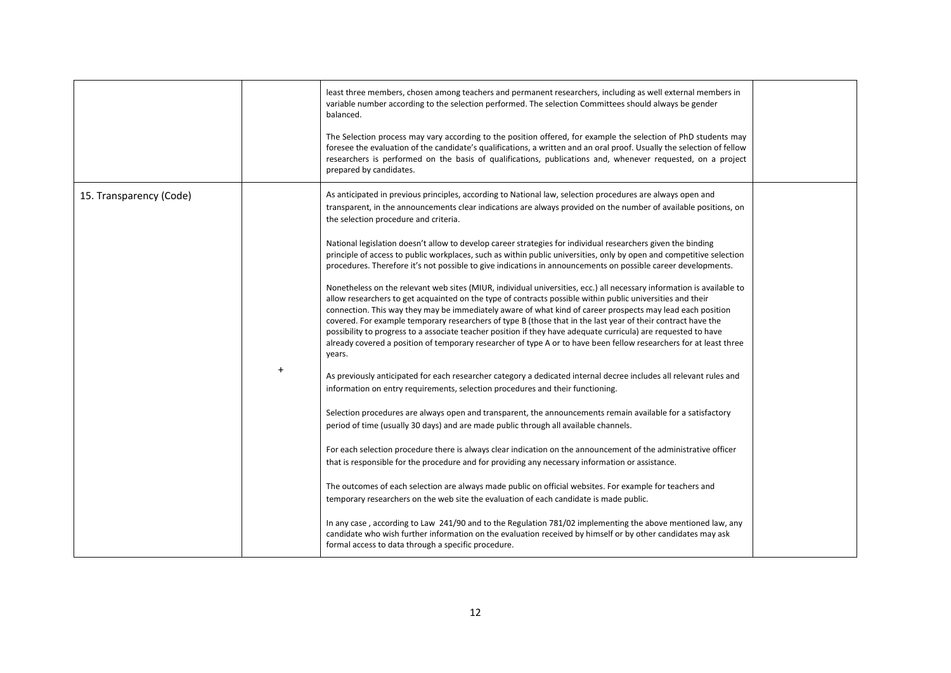|                         |           | least three members, chosen among teachers and permanent researchers, including as well external members in<br>variable number according to the selection performed. The selection Committees should always be gender<br>balanced.<br>The Selection process may vary according to the position offered, for example the selection of PhD students may<br>foresee the evaluation of the candidate's qualifications, a written and an oral proof. Usually the selection of fellow                                                                                                                                                                                                                                     |  |
|-------------------------|-----------|---------------------------------------------------------------------------------------------------------------------------------------------------------------------------------------------------------------------------------------------------------------------------------------------------------------------------------------------------------------------------------------------------------------------------------------------------------------------------------------------------------------------------------------------------------------------------------------------------------------------------------------------------------------------------------------------------------------------|--|
|                         |           | researchers is performed on the basis of qualifications, publications and, whenever requested, on a project<br>prepared by candidates.                                                                                                                                                                                                                                                                                                                                                                                                                                                                                                                                                                              |  |
| 15. Transparency (Code) |           | As anticipated in previous principles, according to National law, selection procedures are always open and<br>transparent, in the announcements clear indications are always provided on the number of available positions, on<br>the selection procedure and criteria.                                                                                                                                                                                                                                                                                                                                                                                                                                             |  |
|                         |           | National legislation doesn't allow to develop career strategies for individual researchers given the binding<br>principle of access to public workplaces, such as within public universities, only by open and competitive selection<br>procedures. Therefore it's not possible to give indications in announcements on possible career developments.                                                                                                                                                                                                                                                                                                                                                               |  |
|                         |           | Nonetheless on the relevant web sites (MIUR, individual universities, ecc.) all necessary information is available to<br>allow researchers to get acquainted on the type of contracts possible within public universities and their<br>connection. This way they may be immediately aware of what kind of career prospects may lead each position<br>covered. For example temporary researchers of type B (those that in the last year of their contract have the<br>possibility to progress to a associate teacher position if they have adequate curricula) are requested to have<br>already covered a position of temporary researcher of type A or to have been fellow researchers for at least three<br>years. |  |
|                         | $\ddot{}$ | As previously anticipated for each researcher category a dedicated internal decree includes all relevant rules and<br>information on entry requirements, selection procedures and their functioning.                                                                                                                                                                                                                                                                                                                                                                                                                                                                                                                |  |
|                         |           | Selection procedures are always open and transparent, the announcements remain available for a satisfactory<br>period of time (usually 30 days) and are made public through all available channels.                                                                                                                                                                                                                                                                                                                                                                                                                                                                                                                 |  |
|                         |           | For each selection procedure there is always clear indication on the announcement of the administrative officer<br>that is responsible for the procedure and for providing any necessary information or assistance.                                                                                                                                                                                                                                                                                                                                                                                                                                                                                                 |  |
|                         |           | The outcomes of each selection are always made public on official websites. For example for teachers and<br>temporary researchers on the web site the evaluation of each candidate is made public.                                                                                                                                                                                                                                                                                                                                                                                                                                                                                                                  |  |
|                         |           | In any case, according to Law 241/90 and to the Regulation 781/02 implementing the above mentioned law, any<br>candidate who wish further information on the evaluation received by himself or by other candidates may ask<br>formal access to data through a specific procedure.                                                                                                                                                                                                                                                                                                                                                                                                                                   |  |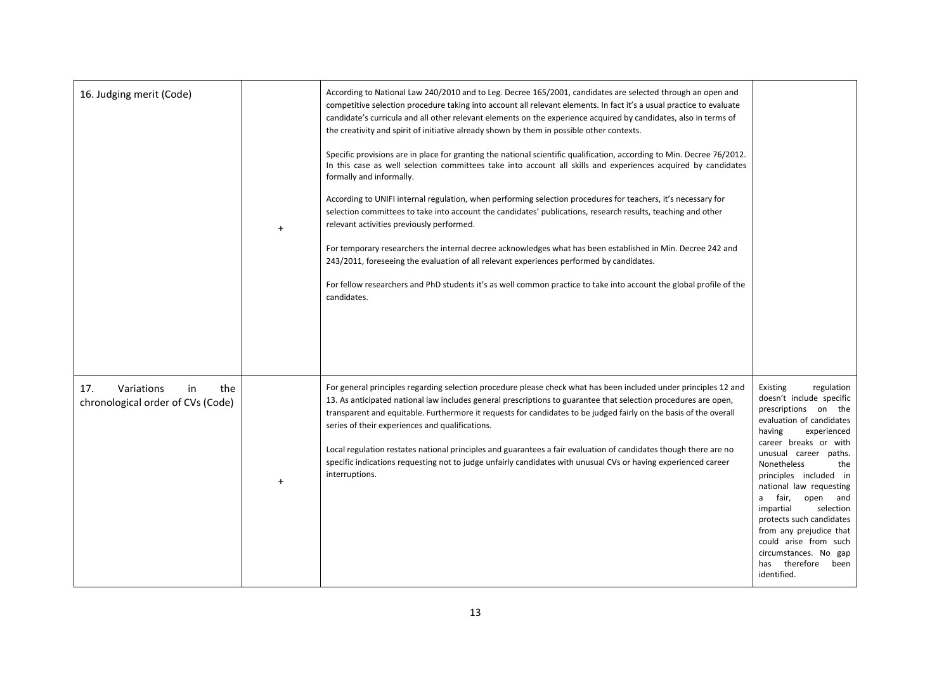| 16. Judging merit (Code)                                            | $+$ | According to National Law 240/2010 and to Leg. Decree 165/2001, candidates are selected through an open and<br>competitive selection procedure taking into account all relevant elements. In fact it's a usual practice to evaluate<br>candidate's curricula and all other relevant elements on the experience acquired by candidates, also in terms of<br>the creativity and spirit of initiative already shown by them in possible other contexts.<br>Specific provisions are in place for granting the national scientific qualification, according to Min. Decree 76/2012.<br>In this case as well selection committees take into account all skills and experiences acquired by candidates<br>formally and informally.<br>According to UNIFI internal regulation, when performing selection procedures for teachers, it's necessary for<br>selection committees to take into account the candidates' publications, research results, teaching and other<br>relevant activities previously performed.<br>For temporary researchers the internal decree acknowledges what has been established in Min. Decree 242 and<br>243/2011, foreseeing the evaluation of all relevant experiences performed by candidates.<br>For fellow researchers and PhD students it's as well common practice to take into account the global profile of the<br>candidates. |                                                                                                                                                                                                                                                                                                                                                                                                                                                                          |
|---------------------------------------------------------------------|-----|------------------------------------------------------------------------------------------------------------------------------------------------------------------------------------------------------------------------------------------------------------------------------------------------------------------------------------------------------------------------------------------------------------------------------------------------------------------------------------------------------------------------------------------------------------------------------------------------------------------------------------------------------------------------------------------------------------------------------------------------------------------------------------------------------------------------------------------------------------------------------------------------------------------------------------------------------------------------------------------------------------------------------------------------------------------------------------------------------------------------------------------------------------------------------------------------------------------------------------------------------------------------------------------------------------------------------------------------------------|--------------------------------------------------------------------------------------------------------------------------------------------------------------------------------------------------------------------------------------------------------------------------------------------------------------------------------------------------------------------------------------------------------------------------------------------------------------------------|
| Variations<br>17.<br>in<br>the<br>chronological order of CVs (Code) | $+$ | For general principles regarding selection procedure please check what has been included under principles 12 and<br>13. As anticipated national law includes general prescriptions to guarantee that selection procedures are open,<br>transparent and equitable. Furthermore it requests for candidates to be judged fairly on the basis of the overall<br>series of their experiences and qualifications.<br>Local regulation restates national principles and guarantees a fair evaluation of candidates though there are no<br>specific indications requesting not to judge unfairly candidates with unusual CVs or having experienced career<br>interruptions.                                                                                                                                                                                                                                                                                                                                                                                                                                                                                                                                                                                                                                                                                        | Existing<br>regulation<br>doesn't include specific<br>prescriptions on the<br>evaluation of candidates<br>having<br>experienced<br>career breaks or with<br>unusual career paths.<br><b>Nonetheless</b><br>the<br>principles included in<br>national law requesting<br>a fair,<br>open and<br>impartial<br>selection<br>protects such candidates<br>from any prejudice that<br>could arise from such<br>circumstances. No gap<br>therefore<br>been<br>has<br>identified. |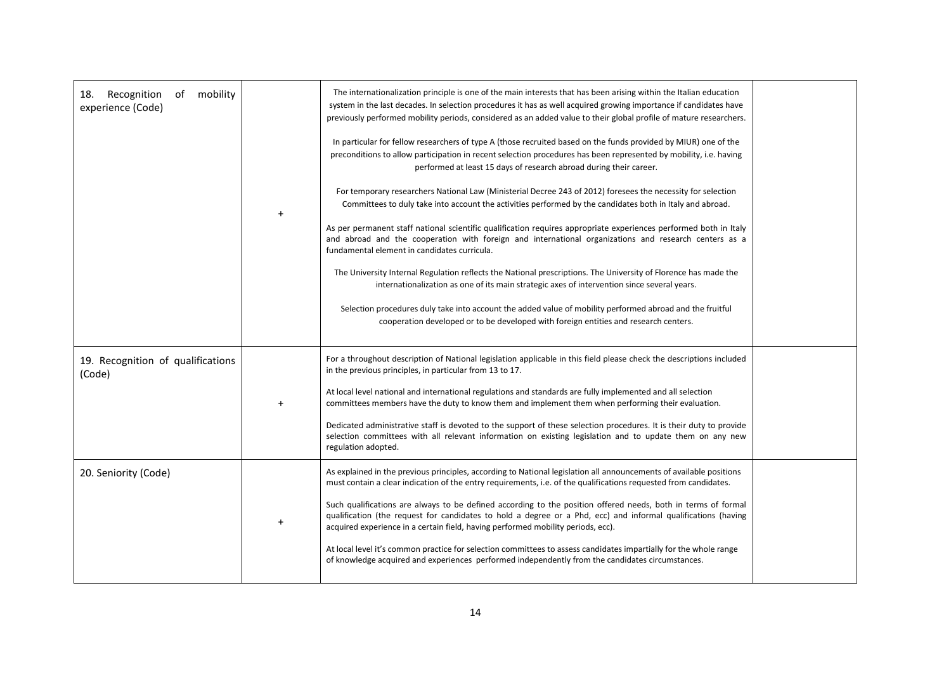| Recognition<br>mobility<br>18.<br>of<br>experience (Code) | The internationalization principle is one of the main interests that has been arising within the Italian education<br>system in the last decades. In selection procedures it has as well acquired growing importance if candidates have<br>previously performed mobility periods, considered as an added value to their global profile of mature researchers.<br>In particular for fellow researchers of type A (those recruited based on the funds provided by MIUR) one of the<br>preconditions to allow participation in recent selection procedures has been represented by mobility, i.e. having<br>performed at least 15 days of research abroad during their career.<br>For temporary researchers National Law (Ministerial Decree 243 of 2012) foresees the necessity for selection<br>Committees to duly take into account the activities performed by the candidates both in Italy and abroad.<br>As per permanent staff national scientific qualification requires appropriate experiences performed both in Italy<br>and abroad and the cooperation with foreign and international organizations and research centers as a<br>fundamental element in candidates curricula.<br>The University Internal Regulation reflects the National prescriptions. The University of Florence has made the<br>internationalization as one of its main strategic axes of intervention since several years.<br>Selection procedures duly take into account the added value of mobility performed abroad and the fruitful<br>cooperation developed or to be developed with foreign entities and research centers. |  |
|-----------------------------------------------------------|---------------------------------------------------------------------------------------------------------------------------------------------------------------------------------------------------------------------------------------------------------------------------------------------------------------------------------------------------------------------------------------------------------------------------------------------------------------------------------------------------------------------------------------------------------------------------------------------------------------------------------------------------------------------------------------------------------------------------------------------------------------------------------------------------------------------------------------------------------------------------------------------------------------------------------------------------------------------------------------------------------------------------------------------------------------------------------------------------------------------------------------------------------------------------------------------------------------------------------------------------------------------------------------------------------------------------------------------------------------------------------------------------------------------------------------------------------------------------------------------------------------------------------------------------------------------------------------------------------------|--|
| 19. Recognition of qualifications<br>(Code)               | For a throughout description of National legislation applicable in this field please check the descriptions included<br>in the previous principles, in particular from 13 to 17.<br>At local level national and international regulations and standards are fully implemented and all selection<br>committees members have the duty to know them and implement them when performing their evaluation.<br>Dedicated administrative staff is devoted to the support of these selection procedures. It is their duty to provide<br>selection committees with all relevant information on existing legislation and to update them on any new<br>regulation adopted.                                                                                                                                                                                                                                                                                                                                                                                                                                                                                                                                                                                                                                                                                                                                                                                                                                                                                                                                               |  |
| 20. Seniority (Code)                                      | As explained in the previous principles, according to National legislation all announcements of available positions<br>must contain a clear indication of the entry requirements, i.e. of the qualifications requested from candidates.<br>Such qualifications are always to be defined according to the position offered needs, both in terms of formal<br>qualification (the request for candidates to hold a degree or a Phd, ecc) and informal qualifications (having<br>acquired experience in a certain field, having performed mobility periods, ecc).<br>At local level it's common practice for selection committees to assess candidates impartially for the whole range<br>of knowledge acquired and experiences performed independently from the candidates circumstances.                                                                                                                                                                                                                                                                                                                                                                                                                                                                                                                                                                                                                                                                                                                                                                                                                        |  |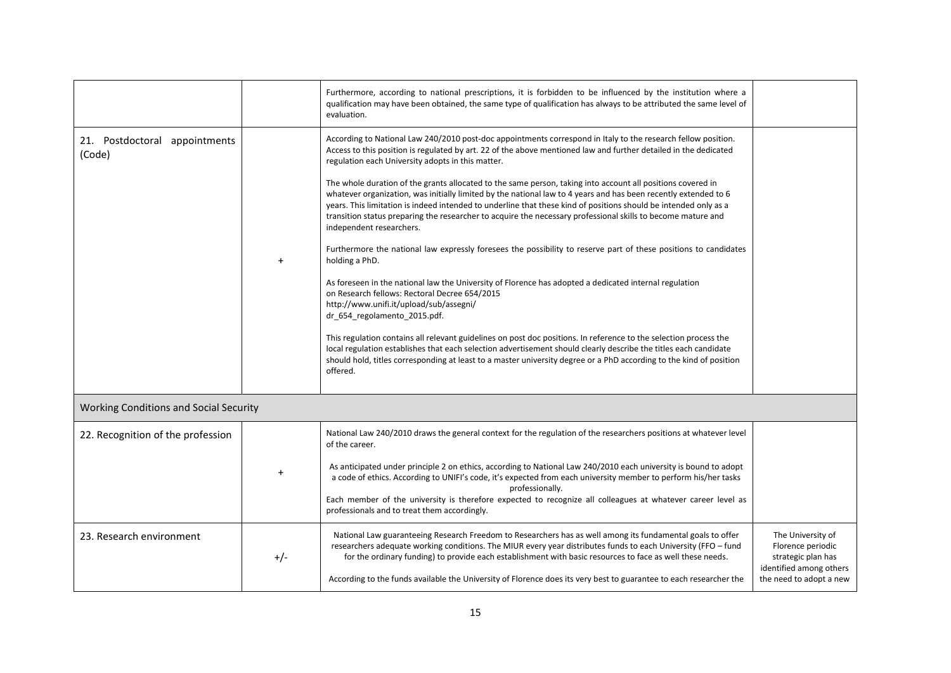|                                               |       | Furthermore, according to national prescriptions, it is forbidden to be influenced by the institution where a<br>qualification may have been obtained, the same type of qualification has always to be attributed the same level of<br>evaluation.                                                                                                                                                                                                                                             |                                                                    |
|-----------------------------------------------|-------|------------------------------------------------------------------------------------------------------------------------------------------------------------------------------------------------------------------------------------------------------------------------------------------------------------------------------------------------------------------------------------------------------------------------------------------------------------------------------------------------|--------------------------------------------------------------------|
| 21. Postdoctoral appointments<br>(Code)       |       | According to National Law 240/2010 post-doc appointments correspond in Italy to the research fellow position.<br>Access to this position is regulated by art. 22 of the above mentioned law and further detailed in the dedicated<br>regulation each University adopts in this matter.                                                                                                                                                                                                         |                                                                    |
|                                               |       | The whole duration of the grants allocated to the same person, taking into account all positions covered in<br>whatever organization, was initially limited by the national law to 4 years and has been recently extended to 6<br>years. This limitation is indeed intended to underline that these kind of positions should be intended only as a<br>transition status preparing the researcher to acquire the necessary professional skills to become mature and<br>independent researchers. |                                                                    |
|                                               | $+$   | Furthermore the national law expressly foresees the possibility to reserve part of these positions to candidates<br>holding a PhD.                                                                                                                                                                                                                                                                                                                                                             |                                                                    |
|                                               |       | As foreseen in the national law the University of Florence has adopted a dedicated internal regulation<br>on Research fellows: Rectoral Decree 654/2015<br>http://www.unifi.it/upload/sub/assegni/<br>dr_654_regolamento_2015.pdf.                                                                                                                                                                                                                                                             |                                                                    |
|                                               |       | This regulation contains all relevant guidelines on post doc positions. In reference to the selection process the<br>local regulation establishes that each selection advertisement should clearly describe the titles each candidate<br>should hold, titles corresponding at least to a master university degree or a PhD according to the kind of position<br>offered.                                                                                                                       |                                                                    |
| <b>Working Conditions and Social Security</b> |       |                                                                                                                                                                                                                                                                                                                                                                                                                                                                                                |                                                                    |
| 22. Recognition of the profession             |       | National Law 240/2010 draws the general context for the regulation of the researchers positions at whatever level<br>of the career.                                                                                                                                                                                                                                                                                                                                                            |                                                                    |
|                                               |       | As anticipated under principle 2 on ethics, according to National Law 240/2010 each university is bound to adopt<br>a code of ethics. According to UNIFI's code, it's expected from each university member to perform his/her tasks<br>professionally.<br>Each member of the university is therefore expected to recognize all colleagues at whatever career level as<br>professionals and to treat them accordingly.                                                                          |                                                                    |
| 23. Research environment                      |       | National Law guaranteeing Research Freedom to Researchers has as well among its fundamental goals to offer                                                                                                                                                                                                                                                                                                                                                                                     | The University of                                                  |
|                                               | $+/-$ | researchers adequate working conditions. The MIUR every year distributes funds to each University (FFO - fund<br>for the ordinary funding) to provide each establishment with basic resources to face as well these needs.                                                                                                                                                                                                                                                                     | Florence periodic<br>strategic plan has<br>identified among others |
|                                               |       | According to the funds available the University of Florence does its very best to guarantee to each researcher the                                                                                                                                                                                                                                                                                                                                                                             | the need to adopt a new                                            |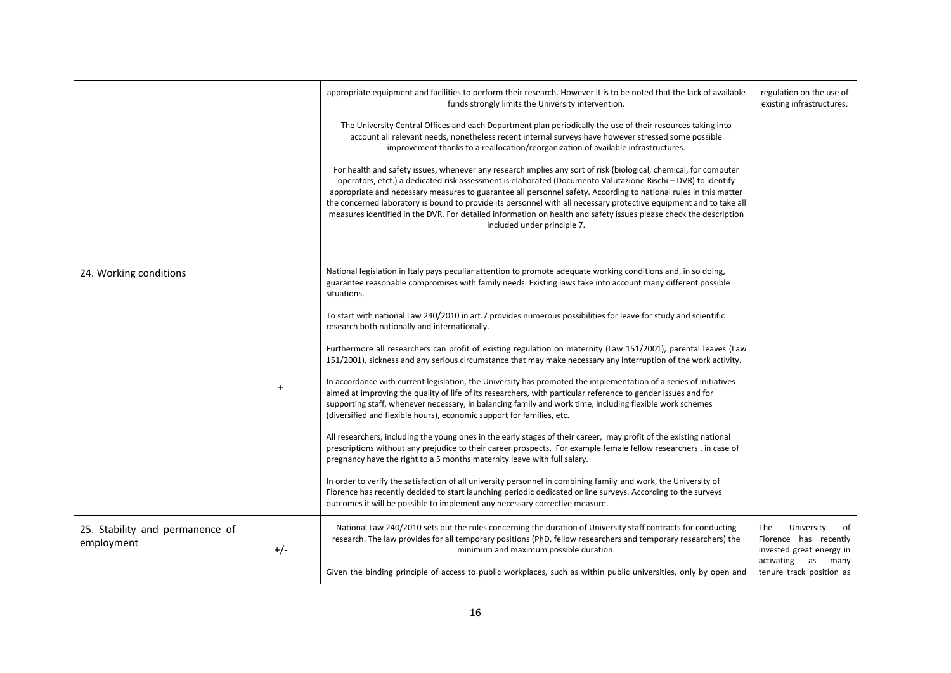|                                               |       | appropriate equipment and facilities to perform their research. However it is to be noted that the lack of available<br>funds strongly limits the University intervention.<br>The University Central Offices and each Department plan periodically the use of their resources taking into<br>account all relevant needs, nonetheless recent internal surveys have however stressed some possible<br>improvement thanks to a reallocation/reorganization of available infrastructures.<br>For health and safety issues, whenever any research implies any sort of risk (biological, chemical, for computer<br>operators, etct.) a dedicated risk assessment is elaborated (Documento Valutazione Rischi - DVR) to identify<br>appropriate and necessary measures to guarantee all personnel safety. According to national rules in this matter<br>the concerned laboratory is bound to provide its personnel with all necessary protective equipment and to take all<br>measures identified in the DVR. For detailed information on health and safety issues please check the description<br>included under principle 7.                                                                                                                                                                                                                                                                                                                                                                                                                                                                                                                                                                                                   | regulation on the use of<br>existing infrastructures.                                                                                |
|-----------------------------------------------|-------|---------------------------------------------------------------------------------------------------------------------------------------------------------------------------------------------------------------------------------------------------------------------------------------------------------------------------------------------------------------------------------------------------------------------------------------------------------------------------------------------------------------------------------------------------------------------------------------------------------------------------------------------------------------------------------------------------------------------------------------------------------------------------------------------------------------------------------------------------------------------------------------------------------------------------------------------------------------------------------------------------------------------------------------------------------------------------------------------------------------------------------------------------------------------------------------------------------------------------------------------------------------------------------------------------------------------------------------------------------------------------------------------------------------------------------------------------------------------------------------------------------------------------------------------------------------------------------------------------------------------------------------------------------------------------------------------------------------------------|--------------------------------------------------------------------------------------------------------------------------------------|
| 24. Working conditions                        |       | National legislation in Italy pays peculiar attention to promote adequate working conditions and, in so doing,<br>guarantee reasonable compromises with family needs. Existing laws take into account many different possible<br>situations.<br>To start with national Law 240/2010 in art.7 provides numerous possibilities for leave for study and scientific<br>research both nationally and internationally.<br>Furthermore all researchers can profit of existing regulation on maternity (Law 151/2001), parental leaves (Law<br>151/2001), sickness and any serious circumstance that may make necessary any interruption of the work activity.<br>In accordance with current legislation, the University has promoted the implementation of a series of initiatives<br>aimed at improving the quality of life of its researchers, with particular reference to gender issues and for<br>supporting staff, whenever necessary, in balancing family and work time, including flexible work schemes<br>(diversified and flexible hours), economic support for families, etc.<br>All researchers, including the young ones in the early stages of their career, may profit of the existing national<br>prescriptions without any prejudice to their career prospects. For example female fellow researchers, in case of<br>pregnancy have the right to a 5 months maternity leave with full salary.<br>In order to verify the satisfaction of all university personnel in combining family and work, the University of<br>Florence has recently decided to start launching periodic dedicated online surveys. According to the surveys<br>outcomes it will be possible to implement any necessary corrective measure. |                                                                                                                                      |
| 25. Stability and permanence of<br>employment | $+/-$ | National Law 240/2010 sets out the rules concerning the duration of University staff contracts for conducting<br>research. The law provides for all temporary positions (PhD, fellow researchers and temporary researchers) the<br>minimum and maximum possible duration.<br>Given the binding principle of access to public workplaces, such as within public universities, only by open and                                                                                                                                                                                                                                                                                                                                                                                                                                                                                                                                                                                                                                                                                                                                                                                                                                                                                                                                                                                                                                                                                                                                                                                                                                                                                                                             | The<br>University<br>of<br>Florence has recently<br>invested great energy in<br>activating<br>as<br>many<br>tenure track position as |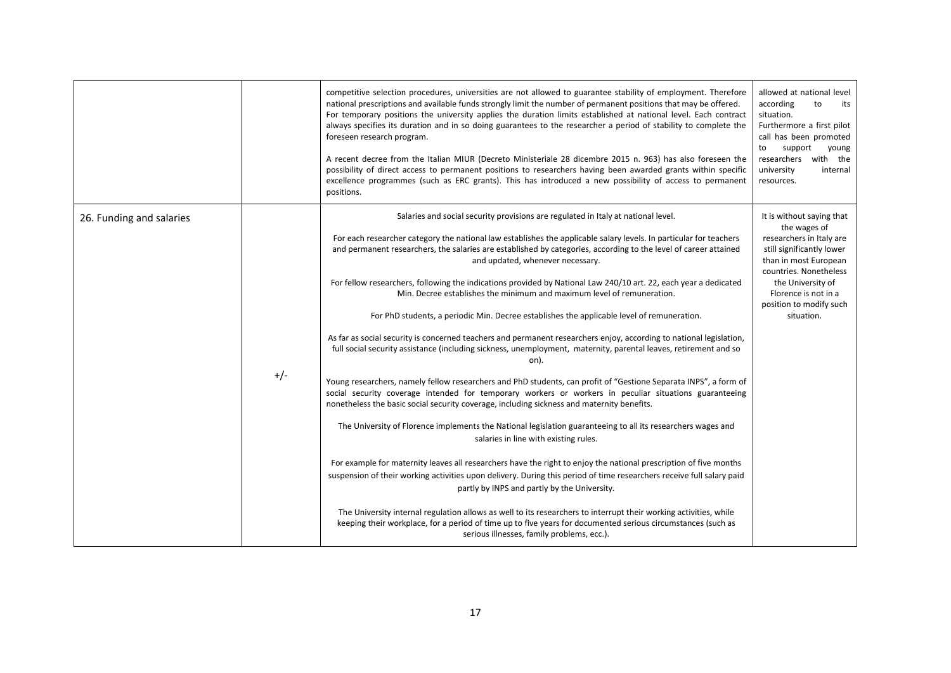|                          |       | competitive selection procedures, universities are not allowed to guarantee stability of employment. Therefore<br>national prescriptions and available funds strongly limit the number of permanent positions that may be offered.<br>For temporary positions the university applies the duration limits established at national level. Each contract<br>always specifies its duration and in so doing guarantees to the researcher a period of stability to complete the<br>foreseen research program.<br>A recent decree from the Italian MIUR (Decreto Ministeriale 28 dicembre 2015 n. 963) has also foreseen the<br>possibility of direct access to permanent positions to researchers having been awarded grants within specific<br>excellence programmes (such as ERC grants). This has introduced a new possibility of access to permanent<br>positions.                                                                                                                                                                                                                                                                                                                                                                                                                                                                                                                                                                                                                                                                                                                                                                                                                                                                                                                                                                                                                                                                                                                     | allowed at national level<br>according<br>to<br>its<br>situation.<br>Furthermore a first pilot<br>call has been promoted<br>support<br>to<br>young<br>researchers with the<br>university<br>internal<br>resources.                          |
|--------------------------|-------|--------------------------------------------------------------------------------------------------------------------------------------------------------------------------------------------------------------------------------------------------------------------------------------------------------------------------------------------------------------------------------------------------------------------------------------------------------------------------------------------------------------------------------------------------------------------------------------------------------------------------------------------------------------------------------------------------------------------------------------------------------------------------------------------------------------------------------------------------------------------------------------------------------------------------------------------------------------------------------------------------------------------------------------------------------------------------------------------------------------------------------------------------------------------------------------------------------------------------------------------------------------------------------------------------------------------------------------------------------------------------------------------------------------------------------------------------------------------------------------------------------------------------------------------------------------------------------------------------------------------------------------------------------------------------------------------------------------------------------------------------------------------------------------------------------------------------------------------------------------------------------------------------------------------------------------------------------------------------------------|---------------------------------------------------------------------------------------------------------------------------------------------------------------------------------------------------------------------------------------------|
| 26. Funding and salaries | $+/-$ | Salaries and social security provisions are regulated in Italy at national level.<br>For each researcher category the national law establishes the applicable salary levels. In particular for teachers<br>and permanent researchers, the salaries are established by categories, according to the level of career attained<br>and updated, whenever necessary.<br>For fellow researchers, following the indications provided by National Law 240/10 art. 22, each year a dedicated<br>Min. Decree establishes the minimum and maximum level of remuneration.<br>For PhD students, a periodic Min. Decree establishes the applicable level of remuneration.<br>As far as social security is concerned teachers and permanent researchers enjoy, according to national legislation,<br>full social security assistance (including sickness, unemployment, maternity, parental leaves, retirement and so<br>on).<br>Young researchers, namely fellow researchers and PhD students, can profit of "Gestione Separata INPS", a form of<br>social security coverage intended for temporary workers or workers in peculiar situations guaranteeing<br>nonetheless the basic social security coverage, including sickness and maternity benefits.<br>The University of Florence implements the National legislation guaranteeing to all its researchers wages and<br>salaries in line with existing rules.<br>For example for maternity leaves all researchers have the right to enjoy the national prescription of five months<br>suspension of their working activities upon delivery. During this period of time researchers receive full salary paid<br>partly by INPS and partly by the University.<br>The University internal regulation allows as well to its researchers to interrupt their working activities, while<br>keeping their workplace, for a period of time up to five years for documented serious circumstances (such as<br>serious illnesses, family problems, ecc.). | It is without saying that<br>the wages of<br>researchers in Italy are<br>still significantly lower<br>than in most European<br>countries. Nonetheless<br>the University of<br>Florence is not in a<br>position to modify such<br>situation. |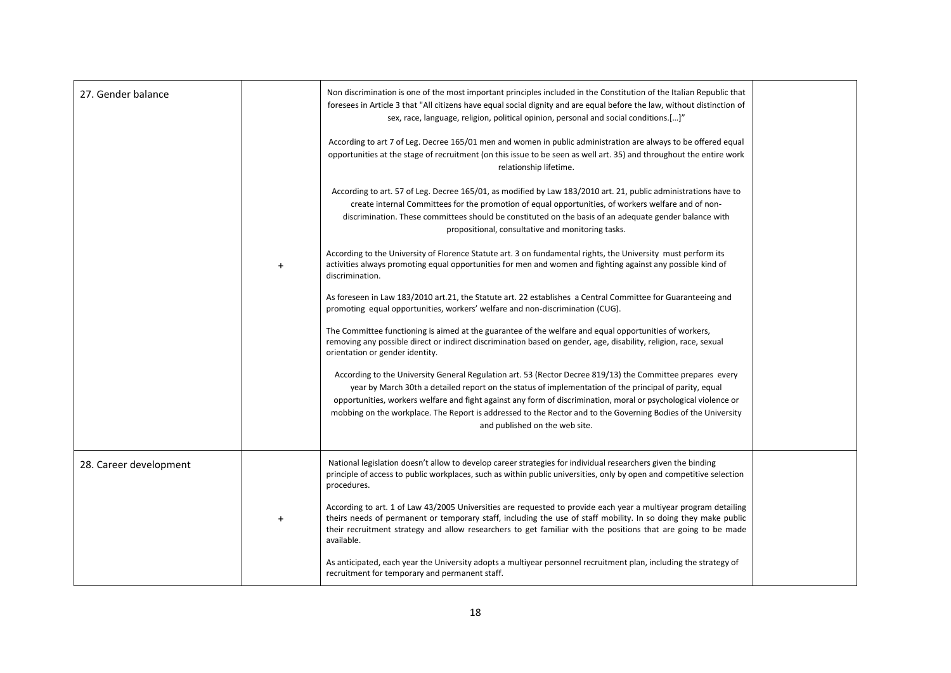| 27. Gender balance     |           | Non discrimination is one of the most important principles included in the Constitution of the Italian Republic that<br>foresees in Article 3 that "All citizens have equal social dignity and are equal before the law, without distinction of<br>sex, race, language, religion, political opinion, personal and social conditions.[]"<br>According to art 7 of Leg. Decree 165/01 men and women in public administration are always to be offered equal<br>opportunities at the stage of recruitment (on this issue to be seen as well art. 35) and throughout the entire work<br>relationship lifetime.<br>According to art. 57 of Leg. Decree 165/01, as modified by Law 183/2010 art. 21, public administrations have to<br>create internal Committees for the promotion of equal opportunities, of workers welfare and of non-<br>discrimination. These committees should be constituted on the basis of an adequate gender balance with<br>propositional, consultative and monitoring tasks.<br>According to the University of Florence Statute art. 3 on fundamental rights, the University must perform its<br>activities always promoting equal opportunities for men and women and fighting against any possible kind of<br>discrimination.<br>As foreseen in Law 183/2010 art.21, the Statute art. 22 establishes a Central Committee for Guaranteeing and<br>promoting equal opportunities, workers' welfare and non-discrimination (CUG).<br>The Committee functioning is aimed at the guarantee of the welfare and equal opportunities of workers,<br>removing any possible direct or indirect discrimination based on gender, age, disability, religion, race, sexual<br>orientation or gender identity.<br>According to the University General Regulation art. 53 (Rector Decree 819/13) the Committee prepares every<br>year by March 30th a detailed report on the status of implementation of the principal of parity, equal<br>opportunities, workers welfare and fight against any form of discrimination, moral or psychological violence or<br>mobbing on the workplace. The Report is addressed to the Rector and to the Governing Bodies of the University<br>and published on the web site. |  |
|------------------------|-----------|------------------------------------------------------------------------------------------------------------------------------------------------------------------------------------------------------------------------------------------------------------------------------------------------------------------------------------------------------------------------------------------------------------------------------------------------------------------------------------------------------------------------------------------------------------------------------------------------------------------------------------------------------------------------------------------------------------------------------------------------------------------------------------------------------------------------------------------------------------------------------------------------------------------------------------------------------------------------------------------------------------------------------------------------------------------------------------------------------------------------------------------------------------------------------------------------------------------------------------------------------------------------------------------------------------------------------------------------------------------------------------------------------------------------------------------------------------------------------------------------------------------------------------------------------------------------------------------------------------------------------------------------------------------------------------------------------------------------------------------------------------------------------------------------------------------------------------------------------------------------------------------------------------------------------------------------------------------------------------------------------------------------------------------------------------------------------------------------------------------------------------------------------------------------------------------------------------------------|--|
| 28. Career development | $\ddot{}$ | National legislation doesn't allow to develop career strategies for individual researchers given the binding<br>principle of access to public workplaces, such as within public universities, only by open and competitive selection<br>procedures.<br>According to art. 1 of Law 43/2005 Universities are requested to provide each year a multiyear program detailing<br>theirs needs of permanent or temporary staff, including the use of staff mobility. In so doing they make public<br>their recruitment strategy and allow researchers to get familiar with the positions that are going to be made<br>available.<br>As anticipated, each year the University adopts a multiyear personnel recruitment plan, including the strategy of<br>recruitment for temporary and permanent staff.                                                                                                                                                                                                                                                                                                                                                                                                                                                                                                                                                                                                                                                                                                                                                                                                                                                                                                                                                                                                                                                                                                                                                                                                                                                                                                                                                                                                                       |  |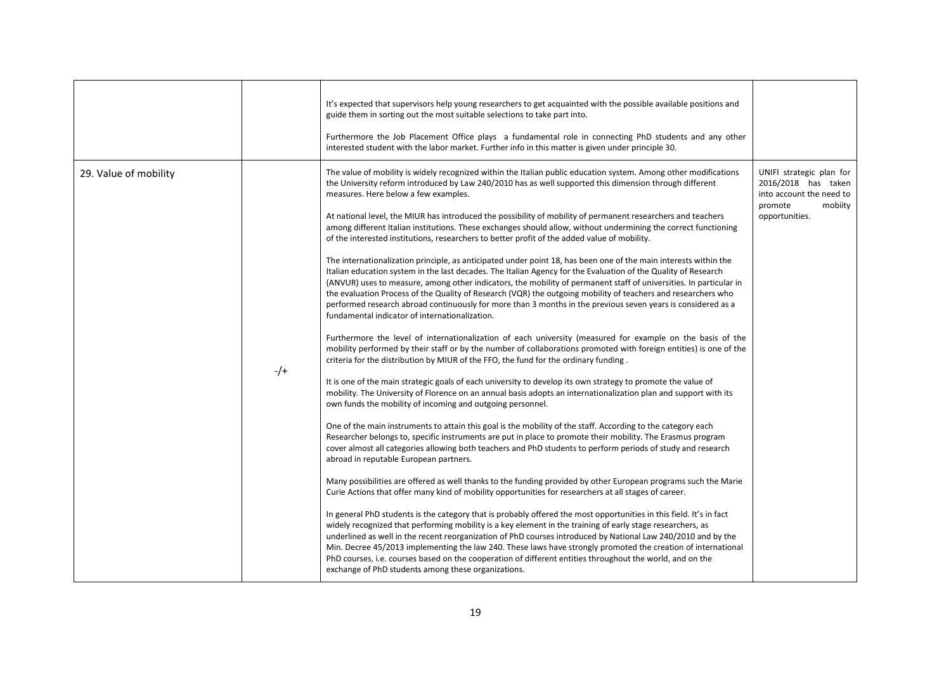|                       |       | It's expected that supervisors help young researchers to get acquainted with the possible available positions and<br>guide them in sorting out the most suitable selections to take part into.<br>Furthermore the Job Placement Office plays a fundamental role in connecting PhD students and any other<br>interested student with the labor market. Further info in this matter is given under principle 30.                                                                                                                                                                                                                                                                                                                                                                                                                                                                                                                                                                                                                                                                                                                                                                                                                                                                                                                                                                                                                                                                                                                                                                                                                                                                                                                                                                                                                                                                                                                                                                                                                                                                                                                                                                                                                                                                                                                                                                                                                                                                                                                                                                                                                                                                                                                                                                                                                                                                                                                                                                                                                                                                                                                                      |                                                                                                                     |
|-----------------------|-------|-----------------------------------------------------------------------------------------------------------------------------------------------------------------------------------------------------------------------------------------------------------------------------------------------------------------------------------------------------------------------------------------------------------------------------------------------------------------------------------------------------------------------------------------------------------------------------------------------------------------------------------------------------------------------------------------------------------------------------------------------------------------------------------------------------------------------------------------------------------------------------------------------------------------------------------------------------------------------------------------------------------------------------------------------------------------------------------------------------------------------------------------------------------------------------------------------------------------------------------------------------------------------------------------------------------------------------------------------------------------------------------------------------------------------------------------------------------------------------------------------------------------------------------------------------------------------------------------------------------------------------------------------------------------------------------------------------------------------------------------------------------------------------------------------------------------------------------------------------------------------------------------------------------------------------------------------------------------------------------------------------------------------------------------------------------------------------------------------------------------------------------------------------------------------------------------------------------------------------------------------------------------------------------------------------------------------------------------------------------------------------------------------------------------------------------------------------------------------------------------------------------------------------------------------------------------------------------------------------------------------------------------------------------------------------------------------------------------------------------------------------------------------------------------------------------------------------------------------------------------------------------------------------------------------------------------------------------------------------------------------------------------------------------------------------------------------------------------------------------------------------------------------------|---------------------------------------------------------------------------------------------------------------------|
| 29. Value of mobility | $-/-$ | The value of mobility is widely recognized within the Italian public education system. Among other modifications<br>the University reform introduced by Law 240/2010 has as well supported this dimension through different<br>measures. Here below a few examples.<br>At national level, the MIUR has introduced the possibility of mobility of permanent researchers and teachers<br>among different Italian institutions. These exchanges should allow, without undermining the correct functioning<br>of the interested institutions, researchers to better profit of the added value of mobility.<br>The internationalization principle, as anticipated under point 18, has been one of the main interests within the<br>Italian education system in the last decades. The Italian Agency for the Evaluation of the Quality of Research<br>(ANVUR) uses to measure, among other indicators, the mobility of permanent staff of universities. In particular in<br>the evaluation Process of the Quality of Research (VQR) the outgoing mobility of teachers and researchers who<br>performed research abroad continuously for more than 3 months in the previous seven years is considered as a<br>fundamental indicator of internationalization.<br>Furthermore the level of internationalization of each university (measured for example on the basis of the<br>mobility performed by their staff or by the number of collaborations promoted with foreign entities) is one of the<br>criteria for the distribution by MIUR of the FFO, the fund for the ordinary funding.<br>It is one of the main strategic goals of each university to develop its own strategy to promote the value of<br>mobility. The University of Florence on an annual basis adopts an internationalization plan and support with its<br>own funds the mobility of incoming and outgoing personnel.<br>One of the main instruments to attain this goal is the mobility of the staff. According to the category each<br>Researcher belongs to, specific instruments are put in place to promote their mobility. The Erasmus program<br>cover almost all categories allowing both teachers and PhD students to perform periods of study and research<br>abroad in reputable European partners.<br>Many possibilities are offered as well thanks to the funding provided by other European programs such the Marie<br>Curie Actions that offer many kind of mobility opportunities for researchers at all stages of career.<br>In general PhD students is the category that is probably offered the most opportunities in this field. It's in fact<br>widely recognized that performing mobility is a key element in the training of early stage researchers, as<br>underlined as well in the recent reorganization of PhD courses introduced by National Law 240/2010 and by the<br>Min. Decree 45/2013 implementing the law 240. These laws have strongly promoted the creation of international<br>PhD courses, i.e. courses based on the cooperation of different entities throughout the world, and on the<br>exchange of PhD students among these organizations. | UNIFI strategic plan for<br>2016/2018 has taken<br>into account the need to<br>mobiity<br>promote<br>opportunities. |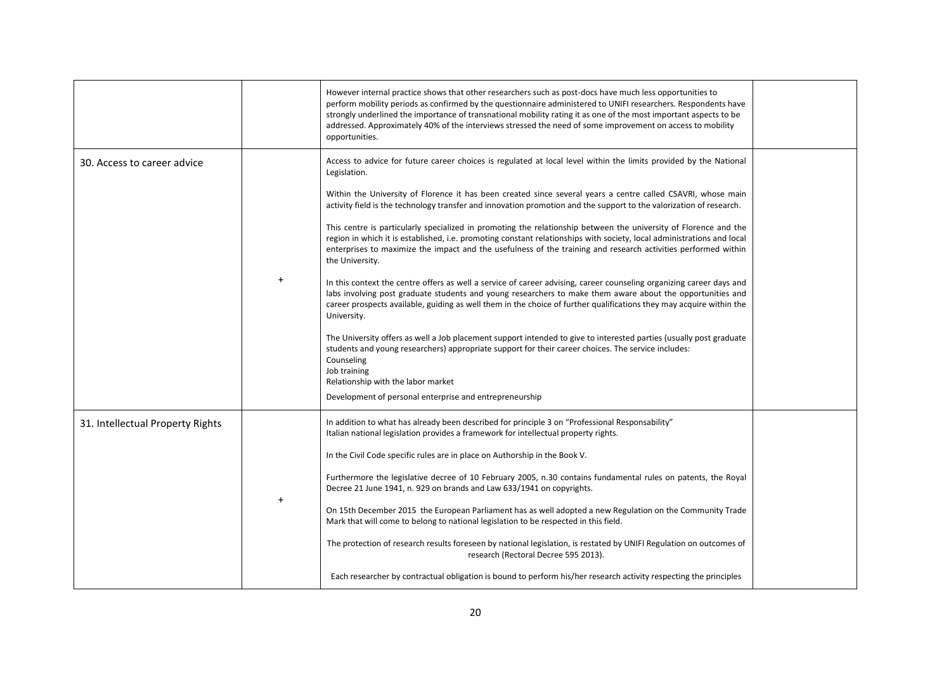|                                  |           | However internal practice shows that other researchers such as post-docs have much less opportunities to<br>perform mobility periods as confirmed by the questionnaire administered to UNIFI researchers. Respondents have<br>strongly underlined the importance of transnational mobility rating it as one of the most important aspects to be<br>addressed. Approximately 40% of the interviews stressed the need of some improvement on access to mobility<br>opportunities.                                                                                                                                                                                                                                                                                                                                                                                                                                                                                                                                                                                                                                                                                                                                                                                                                                                                                                                                                                                                                       |  |
|----------------------------------|-----------|-------------------------------------------------------------------------------------------------------------------------------------------------------------------------------------------------------------------------------------------------------------------------------------------------------------------------------------------------------------------------------------------------------------------------------------------------------------------------------------------------------------------------------------------------------------------------------------------------------------------------------------------------------------------------------------------------------------------------------------------------------------------------------------------------------------------------------------------------------------------------------------------------------------------------------------------------------------------------------------------------------------------------------------------------------------------------------------------------------------------------------------------------------------------------------------------------------------------------------------------------------------------------------------------------------------------------------------------------------------------------------------------------------------------------------------------------------------------------------------------------------|--|
| 30. Access to career advice      | $\ddot{}$ | Access to advice for future career choices is regulated at local level within the limits provided by the National<br>Legislation.<br>Within the University of Florence it has been created since several years a centre called CSAVRI, whose main<br>activity field is the technology transfer and innovation promotion and the support to the valorization of research.<br>This centre is particularly specialized in promoting the relationship between the university of Florence and the<br>region in which it is established, i.e. promoting constant relationships with society, local administrations and local<br>enterprises to maximize the impact and the usefulness of the training and research activities performed within<br>the University.<br>In this context the centre offers as well a service of career advising, career counseling organizing career days and<br>labs involving post graduate students and young researchers to make them aware about the opportunities and<br>career prospects available, guiding as well them in the choice of further qualifications they may acquire within the<br>University.<br>The University offers as well a Job placement support intended to give to interested parties (usually post graduate<br>students and young researchers) appropriate support for their career choices. The service includes:<br>Counseling<br>Job training<br>Relationship with the labor market<br>Development of personal enterprise and entrepreneurship |  |
| 31. Intellectual Property Rights |           | In addition to what has already been described for principle 3 on "Professional Responsability"<br>Italian national legislation provides a framework for intellectual property rights.<br>In the Civil Code specific rules are in place on Authorship in the Book V.<br>Furthermore the legislative decree of 10 February 2005, n.30 contains fundamental rules on patents, the Royal<br>Decree 21 June 1941, n. 929 on brands and Law 633/1941 on copyrights.<br>On 15th December 2015 the European Parliament has as well adopted a new Regulation on the Community Trade<br>Mark that will come to belong to national legislation to be respected in this field.<br>The protection of research results foreseen by national legislation, is restated by UNIFI Regulation on outcomes of<br>research (Rectoral Decree 595 2013).<br>Each researcher by contractual obligation is bound to perform his/her research activity respecting the principles                                                                                                                                                                                                                                                                                                                                                                                                                                                                                                                                               |  |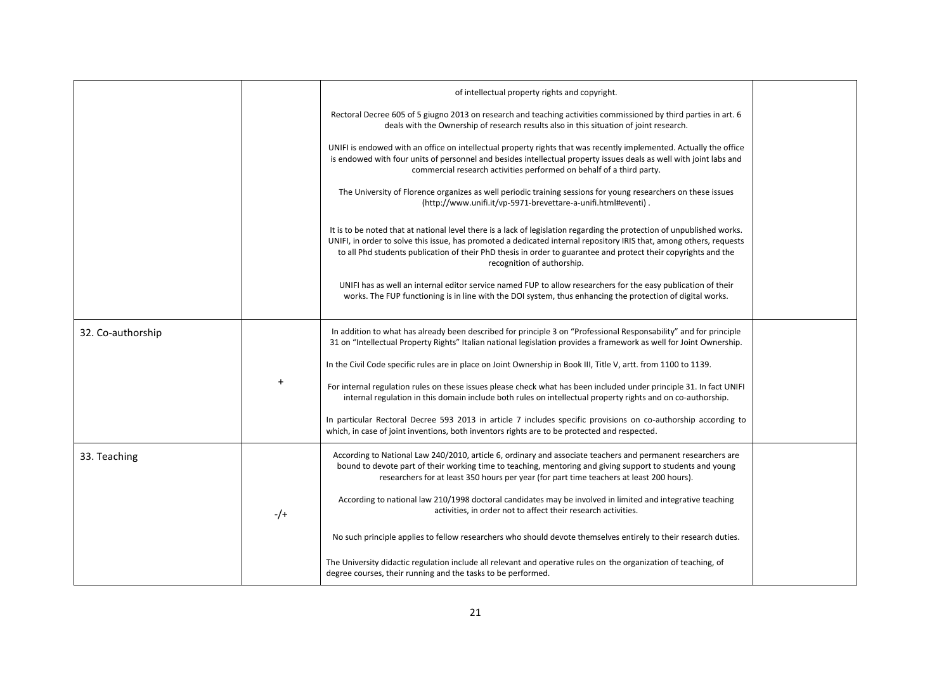|                   |           | of intellectual property rights and copyright.                                                                                                                                                                                                                                                                                                                                                |  |
|-------------------|-----------|-----------------------------------------------------------------------------------------------------------------------------------------------------------------------------------------------------------------------------------------------------------------------------------------------------------------------------------------------------------------------------------------------|--|
|                   |           | Rectoral Decree 605 of 5 giugno 2013 on research and teaching activities commissioned by third parties in art. 6<br>deals with the Ownership of research results also in this situation of joint research.                                                                                                                                                                                    |  |
|                   |           | UNIFI is endowed with an office on intellectual property rights that was recently implemented. Actually the office<br>is endowed with four units of personnel and besides intellectual property issues deals as well with joint labs and<br>commercial research activities performed on behalf of a third party.                                                                              |  |
|                   |           | The University of Florence organizes as well periodic training sessions for young researchers on these issues<br>(http://www.unifi.it/vp-5971-brevettare-a-unifi.html#eventi).                                                                                                                                                                                                                |  |
|                   |           | It is to be noted that at national level there is a lack of legislation regarding the protection of unpublished works.<br>UNIFI, in order to solve this issue, has promoted a dedicated internal repository IRIS that, among others, requests<br>to all Phd students publication of their PhD thesis in order to guarantee and protect their copyrights and the<br>recognition of authorship. |  |
|                   |           | UNIFI has as well an internal editor service named FUP to allow researchers for the easy publication of their<br>works. The FUP functioning is in line with the DOI system, thus enhancing the protection of digital works.                                                                                                                                                                   |  |
| 32. Co-authorship |           | In addition to what has already been described for principle 3 on "Professional Responsability" and for principle<br>31 on "Intellectual Property Rights" Italian national legislation provides a framework as well for Joint Ownership.                                                                                                                                                      |  |
|                   |           | In the Civil Code specific rules are in place on Joint Ownership in Book III, Title V, artt. from 1100 to 1139.                                                                                                                                                                                                                                                                               |  |
|                   | $\ddot{}$ | For internal regulation rules on these issues please check what has been included under principle 31. In fact UNIFI<br>internal regulation in this domain include both rules on intellectual property rights and on co-authorship.                                                                                                                                                            |  |
|                   |           | In particular Rectoral Decree 593 2013 in article 7 includes specific provisions on co-authorship according to<br>which, in case of joint inventions, both inventors rights are to be protected and respected.                                                                                                                                                                                |  |
| 33. Teaching      |           | According to National Law 240/2010, article 6, ordinary and associate teachers and permanent researchers are<br>bound to devote part of their working time to teaching, mentoring and giving support to students and young<br>researchers for at least 350 hours per year (for part time teachers at least 200 hours).                                                                        |  |
|                   | $-/-$     | According to national law 210/1998 doctoral candidates may be involved in limited and integrative teaching<br>activities, in order not to affect their research activities.                                                                                                                                                                                                                   |  |
|                   |           | No such principle applies to fellow researchers who should devote themselves entirely to their research duties.                                                                                                                                                                                                                                                                               |  |
|                   |           | The University didactic regulation include all relevant and operative rules on the organization of teaching, of<br>degree courses, their running and the tasks to be performed.                                                                                                                                                                                                               |  |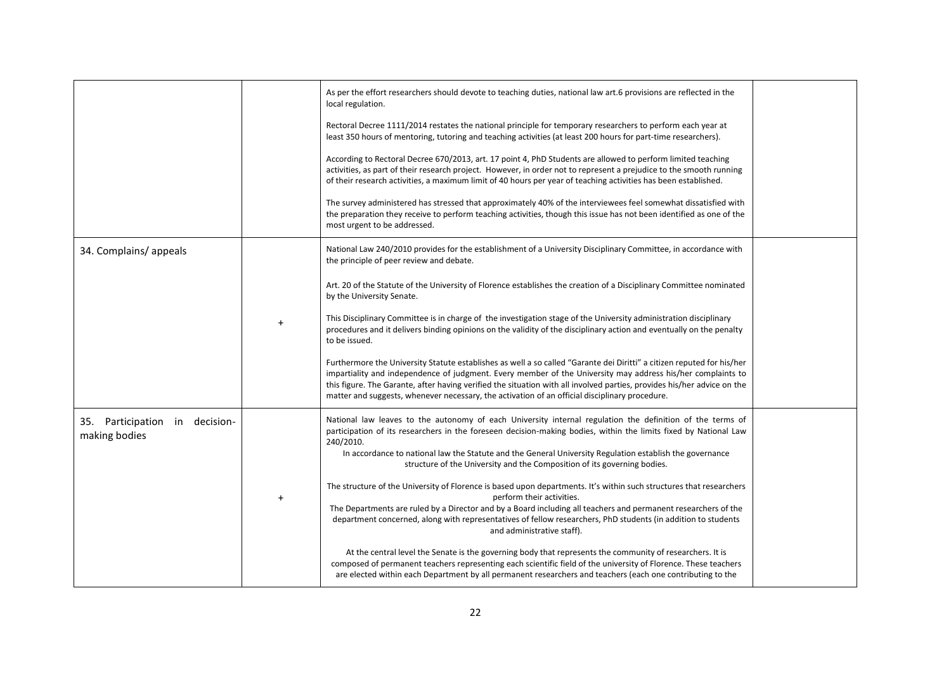|                                                 |           | As per the effort researchers should devote to teaching duties, national law art.6 provisions are reflected in the<br>local regulation.<br>Rectoral Decree 1111/2014 restates the national principle for temporary researchers to perform each year at<br>least 350 hours of mentoring, tutoring and teaching activities (at least 200 hours for part-time researchers).<br>According to Rectoral Decree 670/2013, art. 17 point 4, PhD Students are allowed to perform limited teaching<br>activities, as part of their research project. However, in order not to represent a prejudice to the smooth running<br>of their research activities, a maximum limit of 40 hours per year of teaching activities has been established.<br>The survey administered has stressed that approximately 40% of the interviewees feel somewhat dissatisfied with<br>the preparation they receive to perform teaching activities, though this issue has not been identified as one of the<br>most urgent to be addressed.                                                                                                                                                                                         |  |
|-------------------------------------------------|-----------|-------------------------------------------------------------------------------------------------------------------------------------------------------------------------------------------------------------------------------------------------------------------------------------------------------------------------------------------------------------------------------------------------------------------------------------------------------------------------------------------------------------------------------------------------------------------------------------------------------------------------------------------------------------------------------------------------------------------------------------------------------------------------------------------------------------------------------------------------------------------------------------------------------------------------------------------------------------------------------------------------------------------------------------------------------------------------------------------------------------------------------------------------------------------------------------------------------|--|
| 34. Complains/appeals                           |           | National Law 240/2010 provides for the establishment of a University Disciplinary Committee, in accordance with<br>the principle of peer review and debate.<br>Art. 20 of the Statute of the University of Florence establishes the creation of a Disciplinary Committee nominated<br>by the University Senate.<br>This Disciplinary Committee is in charge of the investigation stage of the University administration disciplinary<br>procedures and it delivers binding opinions on the validity of the disciplinary action and eventually on the penalty<br>to be issued.<br>Furthermore the University Statute establishes as well a so called "Garante dei Diritti" a citizen reputed for his/her<br>impartiality and independence of judgment. Every member of the University may address his/her complaints to<br>this figure. The Garante, after having verified the situation with all involved parties, provides his/her advice on the<br>matter and suggests, whenever necessary, the activation of an official disciplinary procedure.                                                                                                                                                   |  |
| 35. Participation in decision-<br>making bodies | $\ddot{}$ | National law leaves to the autonomy of each University internal regulation the definition of the terms of<br>participation of its researchers in the foreseen decision-making bodies, within the limits fixed by National Law<br>240/2010.<br>In accordance to national law the Statute and the General University Regulation establish the governance<br>structure of the University and the Composition of its governing bodies.<br>The structure of the University of Florence is based upon departments. It's within such structures that researchers<br>perform their activities.<br>The Departments are ruled by a Director and by a Board including all teachers and permanent researchers of the<br>department concerned, along with representatives of fellow researchers, PhD students (in addition to students<br>and administrative staff).<br>At the central level the Senate is the governing body that represents the community of researchers. It is<br>composed of permanent teachers representing each scientific field of the university of Florence. These teachers<br>are elected within each Department by all permanent researchers and teachers (each one contributing to the |  |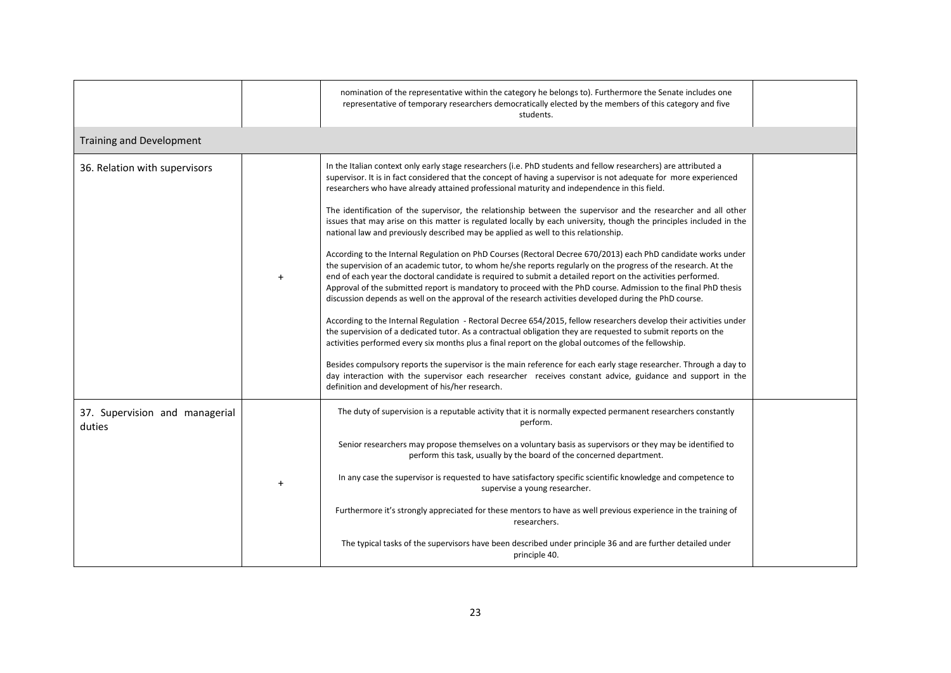|                                          |       | nomination of the representative within the category he belongs to). Furthermore the Senate includes one<br>representative of temporary researchers democratically elected by the members of this category and five<br>students.                                                                                                                                                                                                                                                                                                                                                                                                                                                                                                                                                                                                                                                                                                                                                                                                                                                                                                                                                                                                                                                                                                                                                                                                                                                                                                                                                                                                                                                                                                                                                                                                                                                      |  |
|------------------------------------------|-------|---------------------------------------------------------------------------------------------------------------------------------------------------------------------------------------------------------------------------------------------------------------------------------------------------------------------------------------------------------------------------------------------------------------------------------------------------------------------------------------------------------------------------------------------------------------------------------------------------------------------------------------------------------------------------------------------------------------------------------------------------------------------------------------------------------------------------------------------------------------------------------------------------------------------------------------------------------------------------------------------------------------------------------------------------------------------------------------------------------------------------------------------------------------------------------------------------------------------------------------------------------------------------------------------------------------------------------------------------------------------------------------------------------------------------------------------------------------------------------------------------------------------------------------------------------------------------------------------------------------------------------------------------------------------------------------------------------------------------------------------------------------------------------------------------------------------------------------------------------------------------------------|--|
| <b>Training and Development</b>          |       |                                                                                                                                                                                                                                                                                                                                                                                                                                                                                                                                                                                                                                                                                                                                                                                                                                                                                                                                                                                                                                                                                                                                                                                                                                                                                                                                                                                                                                                                                                                                                                                                                                                                                                                                                                                                                                                                                       |  |
| 36. Relation with supervisors            | $\pm$ | In the Italian context only early stage researchers (i.e. PhD students and fellow researchers) are attributed a<br>supervisor. It is in fact considered that the concept of having a supervisor is not adequate for more experienced<br>researchers who have already attained professional maturity and independence in this field.<br>The identification of the supervisor, the relationship between the supervisor and the researcher and all other<br>issues that may arise on this matter is regulated locally by each university, though the principles included in the<br>national law and previously described may be applied as well to this relationship.<br>According to the Internal Regulation on PhD Courses (Rectoral Decree 670/2013) each PhD candidate works under<br>the supervision of an academic tutor, to whom he/she reports regularly on the progress of the research. At the<br>end of each year the doctoral candidate is required to submit a detailed report on the activities performed.<br>Approval of the submitted report is mandatory to proceed with the PhD course. Admission to the final PhD thesis<br>discussion depends as well on the approval of the research activities developed during the PhD course.<br>According to the Internal Regulation - Rectoral Decree 654/2015, fellow researchers develop their activities under<br>the supervision of a dedicated tutor. As a contractual obligation they are requested to submit reports on the<br>activities performed every six months plus a final report on the global outcomes of the fellowship.<br>Besides compulsory reports the supervisor is the main reference for each early stage researcher. Through a day to<br>day interaction with the supervisor each researcher receives constant advice, guidance and support in the<br>definition and development of his/her research. |  |
| 37. Supervision and managerial<br>duties |       | The duty of supervision is a reputable activity that it is normally expected permanent researchers constantly<br>perform.<br>Senior researchers may propose themselves on a voluntary basis as supervisors or they may be identified to<br>perform this task, usually by the board of the concerned department.<br>In any case the supervisor is requested to have satisfactory specific scientific knowledge and competence to<br>supervise a young researcher.<br>Furthermore it's strongly appreciated for these mentors to have as well previous experience in the training of<br>researchers.<br>The typical tasks of the supervisors have been described under principle 36 and are further detailed under<br>principle 40.                                                                                                                                                                                                                                                                                                                                                                                                                                                                                                                                                                                                                                                                                                                                                                                                                                                                                                                                                                                                                                                                                                                                                     |  |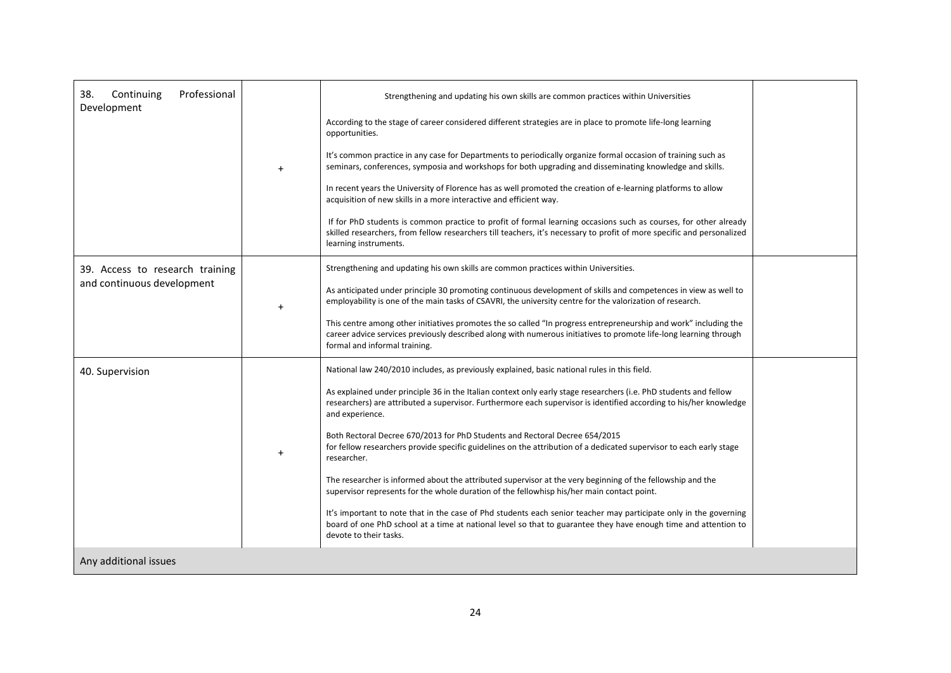| Professional<br>38.<br>Continuing<br>Development              | $+$       | Strengthening and updating his own skills are common practices within Universities<br>According to the stage of career considered different strategies are in place to promote life-long learning<br>opportunities.<br>It's common practice in any case for Departments to periodically organize formal occasion of training such as<br>seminars, conferences, symposia and workshops for both upgrading and disseminating knowledge and skills.<br>In recent years the University of Florence has as well promoted the creation of e-learning platforms to allow<br>acquisition of new skills in a more interactive and efficient way.<br>If for PhD students is common practice to profit of formal learning occasions such as courses, for other already<br>skilled researchers, from fellow researchers till teachers, it's necessary to profit of more specific and personalized<br>learning instruments.                                                                                                                                                |  |
|---------------------------------------------------------------|-----------|---------------------------------------------------------------------------------------------------------------------------------------------------------------------------------------------------------------------------------------------------------------------------------------------------------------------------------------------------------------------------------------------------------------------------------------------------------------------------------------------------------------------------------------------------------------------------------------------------------------------------------------------------------------------------------------------------------------------------------------------------------------------------------------------------------------------------------------------------------------------------------------------------------------------------------------------------------------------------------------------------------------------------------------------------------------|--|
| 39. Access to research training<br>and continuous development | $\ddot{}$ | Strengthening and updating his own skills are common practices within Universities.<br>As anticipated under principle 30 promoting continuous development of skills and competences in view as well to<br>employability is one of the main tasks of CSAVRI, the university centre for the valorization of research.<br>This centre among other initiatives promotes the so called "In progress entrepreneurship and work" including the<br>career advice services previously described along with numerous initiatives to promote life-long learning through<br>formal and informal training.                                                                                                                                                                                                                                                                                                                                                                                                                                                                 |  |
| 40. Supervision                                               | $+$       | National law 240/2010 includes, as previously explained, basic national rules in this field.<br>As explained under principle 36 in the Italian context only early stage researchers (i.e. PhD students and fellow<br>researchers) are attributed a supervisor. Furthermore each supervisor is identified according to his/her knowledge<br>and experience.<br>Both Rectoral Decree 670/2013 for PhD Students and Rectoral Decree 654/2015<br>for fellow researchers provide specific guidelines on the attribution of a dedicated supervisor to each early stage<br>researcher.<br>The researcher is informed about the attributed supervisor at the very beginning of the fellowship and the<br>supervisor represents for the whole duration of the fellowhisp his/her main contact point.<br>It's important to note that in the case of Phd students each senior teacher may participate only in the governing<br>board of one PhD school at a time at national level so that to guarantee they have enough time and attention to<br>devote to their tasks. |  |
| Any additional issues                                         |           |                                                                                                                                                                                                                                                                                                                                                                                                                                                                                                                                                                                                                                                                                                                                                                                                                                                                                                                                                                                                                                                               |  |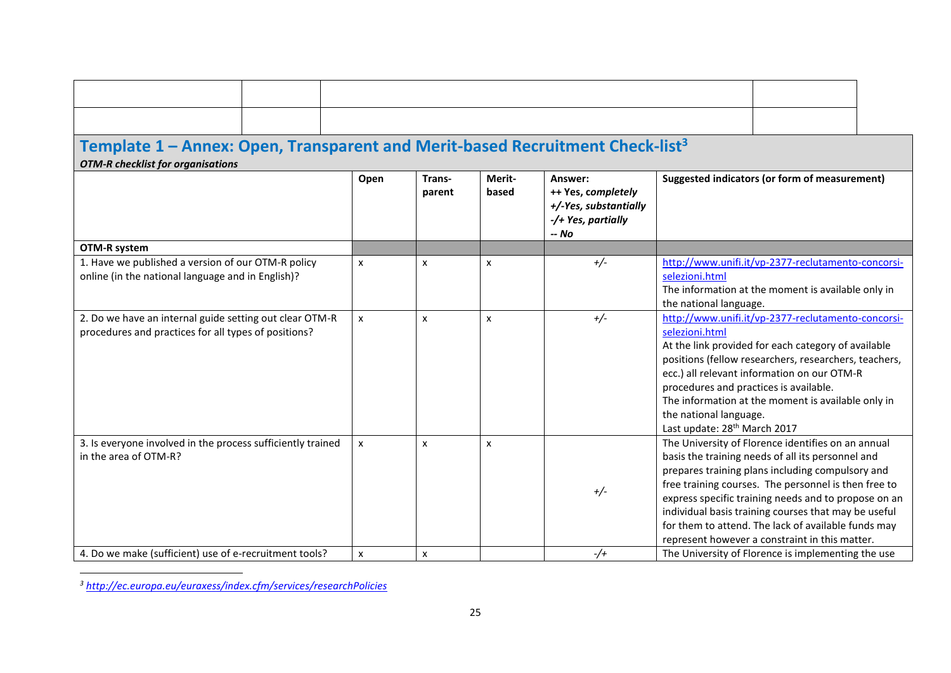# **Template 1 – Annex: Open, Transparent and Merit-based Recruitment Check-list<sup>3</sup>**

*OTM-R checklist for organisations*

|                                                                                                                 | Open         | Trans-<br>parent | Merit-<br>based | Answer:<br>++ Yes, completely<br>+/-Yes, substantially<br>-/+ Yes, partially<br>-- No | Suggested indicators (or form of measurement)                                                                                                                                                                                                                                                                                                                                                                                                |
|-----------------------------------------------------------------------------------------------------------------|--------------|------------------|-----------------|---------------------------------------------------------------------------------------|----------------------------------------------------------------------------------------------------------------------------------------------------------------------------------------------------------------------------------------------------------------------------------------------------------------------------------------------------------------------------------------------------------------------------------------------|
| OTM-R system                                                                                                    |              |                  |                 |                                                                                       |                                                                                                                                                                                                                                                                                                                                                                                                                                              |
| 1. Have we published a version of our OTM-R policy<br>online (in the national language and in English)?         | $\mathsf{x}$ | X                | X               | $+/-$                                                                                 | http://www.unifi.it/vp-2377-reclutamento-concorsi-<br>selezioni.html<br>The information at the moment is available only in<br>the national language.                                                                                                                                                                                                                                                                                         |
| 2. Do we have an internal guide setting out clear OTM-R<br>procedures and practices for all types of positions? | $\mathsf{x}$ | x                | x               | $+/-$                                                                                 | http://www.unifi.it/vp-2377-reclutamento-concorsi-<br>selezioni.html<br>At the link provided for each category of available<br>positions (fellow researchers, researchers, teachers,<br>ecc.) all relevant information on our OTM-R<br>procedures and practices is available.<br>The information at the moment is available only in<br>the national language.<br>Last update: 28 <sup>th</sup> March 2017                                    |
| 3. Is everyone involved in the process sufficiently trained<br>in the area of OTM-R?                            | $\mathsf{x}$ | X                | x               | $+/-$                                                                                 | The University of Florence identifies on an annual<br>basis the training needs of all its personnel and<br>prepares training plans including compulsory and<br>free training courses. The personnel is then free to<br>express specific training needs and to propose on an<br>individual basis training courses that may be useful<br>for them to attend. The lack of available funds may<br>represent however a constraint in this matter. |
| 4. Do we make (sufficient) use of e-recruitment tools?                                                          | X            | X                |                 | $-/-$                                                                                 | The University of Florence is implementing the use                                                                                                                                                                                                                                                                                                                                                                                           |

*<sup>3</sup> <http://ec.europa.eu/euraxess/index.cfm/services/researchPolicies>*

 $\overline{a}$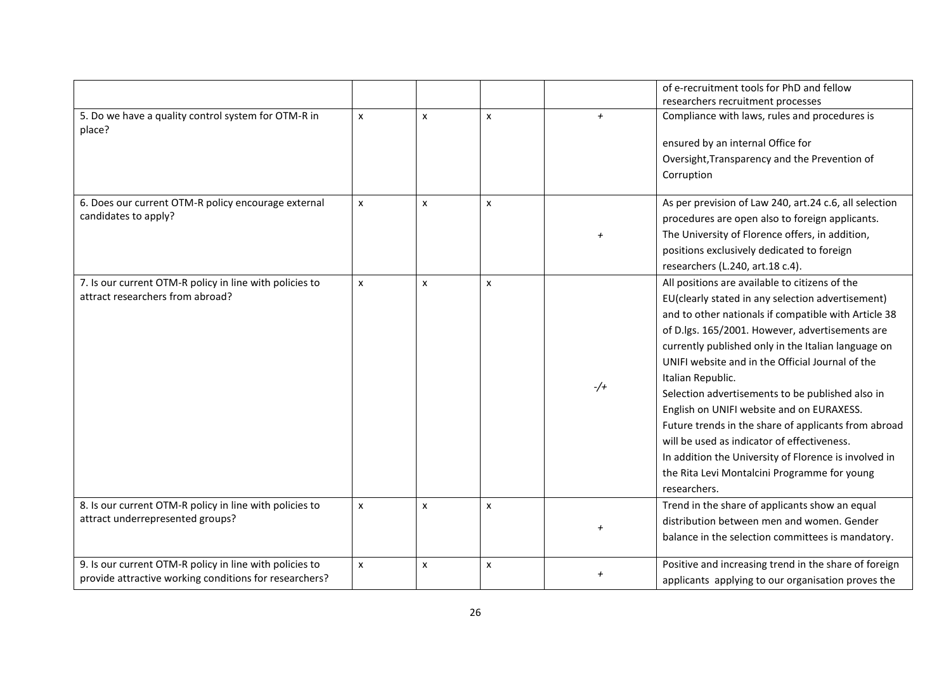|                                                                                                                   |                |                |              |                | of e-recruitment tools for PhD and fellow<br>researchers recruitment processes                                                                                                                                                                                                                                                                                                                                                                                                                                                                                                                                                                                                  |
|-------------------------------------------------------------------------------------------------------------------|----------------|----------------|--------------|----------------|---------------------------------------------------------------------------------------------------------------------------------------------------------------------------------------------------------------------------------------------------------------------------------------------------------------------------------------------------------------------------------------------------------------------------------------------------------------------------------------------------------------------------------------------------------------------------------------------------------------------------------------------------------------------------------|
| 5. Do we have a quality control system for OTM-R in<br>place?                                                     | $\pmb{\times}$ | X              | X            | $\overline{+}$ | Compliance with laws, rules and procedures is<br>ensured by an internal Office for<br>Oversight, Transparency and the Prevention of<br>Corruption                                                                                                                                                                                                                                                                                                                                                                                                                                                                                                                               |
| 6. Does our current OTM-R policy encourage external<br>candidates to apply?                                       | x              | $\pmb{\times}$ | X            | $\overline{+}$ | As per prevision of Law 240, art.24 c.6, all selection<br>procedures are open also to foreign applicants.<br>The University of Florence offers, in addition,<br>positions exclusively dedicated to foreign<br>researchers (L.240, art.18 c.4).                                                                                                                                                                                                                                                                                                                                                                                                                                  |
| 7. Is our current OTM-R policy in line with policies to<br>attract researchers from abroad?                       | $\pmb{\times}$ | $\pmb{\times}$ | $\mathsf{x}$ | $-$ /+         | All positions are available to citizens of the<br>EU(clearly stated in any selection advertisement)<br>and to other nationals if compatible with Article 38<br>of D.lgs. 165/2001. However, advertisements are<br>currently published only in the Italian language on<br>UNIFI website and in the Official Journal of the<br>Italian Republic.<br>Selection advertisements to be published also in<br>English on UNIFI website and on EURAXESS.<br>Future trends in the share of applicants from abroad<br>will be used as indicator of effectiveness.<br>In addition the University of Florence is involved in<br>the Rita Levi Montalcini Programme for young<br>researchers. |
| 8. Is our current OTM-R policy in line with policies to<br>attract underrepresented groups?                       | x              | $\mathsf{x}$   | X            | $\overline{+}$ | Trend in the share of applicants show an equal<br>distribution between men and women. Gender<br>balance in the selection committees is mandatory.                                                                                                                                                                                                                                                                                                                                                                                                                                                                                                                               |
| 9. Is our current OTM-R policy in line with policies to<br>provide attractive working conditions for researchers? | $\mathsf{x}$   | X              | X            |                | Positive and increasing trend in the share of foreign<br>applicants applying to our organisation proves the                                                                                                                                                                                                                                                                                                                                                                                                                                                                                                                                                                     |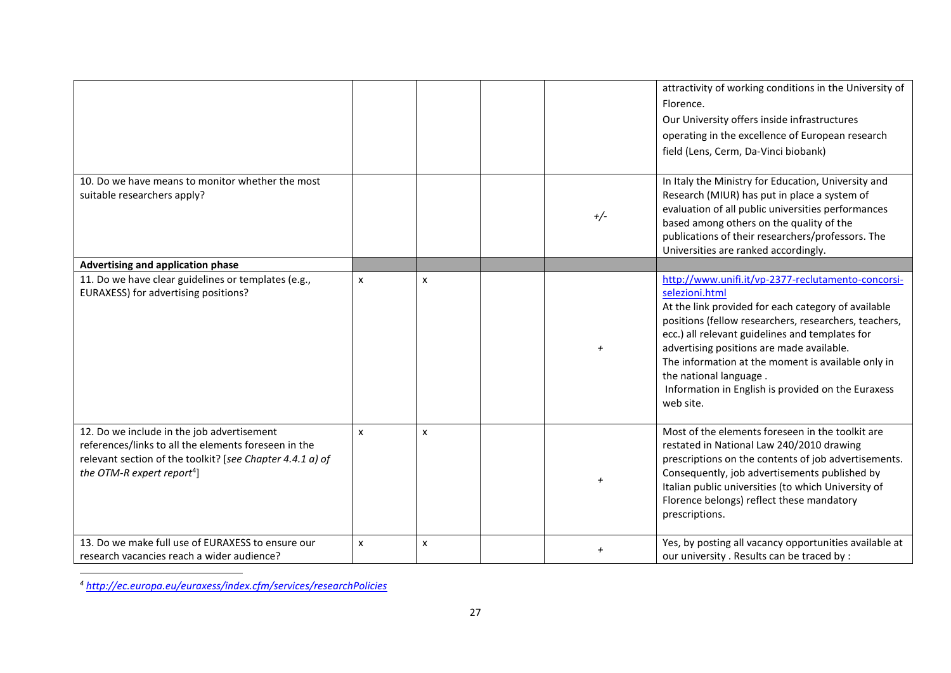|                                                                                                                                                                                                           |                           |              |                | attractivity of working conditions in the University of<br>Florence.<br>Our University offers inside infrastructures<br>operating in the excellence of European research<br>field (Lens, Cerm, Da-Vinci biobank)                                                                                                                                                                                                                        |
|-----------------------------------------------------------------------------------------------------------------------------------------------------------------------------------------------------------|---------------------------|--------------|----------------|-----------------------------------------------------------------------------------------------------------------------------------------------------------------------------------------------------------------------------------------------------------------------------------------------------------------------------------------------------------------------------------------------------------------------------------------|
| 10. Do we have means to monitor whether the most<br>suitable researchers apply?                                                                                                                           |                           |              | $+/-$          | In Italy the Ministry for Education, University and<br>Research (MIUR) has put in place a system of<br>evaluation of all public universities performances<br>based among others on the quality of the<br>publications of their researchers/professors. The<br>Universities are ranked accordingly.                                                                                                                                      |
| Advertising and application phase                                                                                                                                                                         |                           |              |                |                                                                                                                                                                                                                                                                                                                                                                                                                                         |
| 11. Do we have clear guidelines or templates (e.g.,<br>EURAXESS) for advertising positions?                                                                                                               | $\boldsymbol{\mathsf{x}}$ | X            | $\overline{+}$ | http://www.unifi.it/vp-2377-reclutamento-concorsi-<br>selezioni.html<br>At the link provided for each category of available<br>positions (fellow researchers, researchers, teachers,<br>ecc.) all relevant guidelines and templates for<br>advertising positions are made available.<br>The information at the moment is available only in<br>the national language.<br>Information in English is provided on the Euraxess<br>web site. |
| 12. Do we include in the job advertisement<br>references/links to all the elements foreseen in the<br>relevant section of the toolkit? [see Chapter 4.4.1 a) of<br>the OTM-R expert report <sup>4</sup> ] | $\boldsymbol{\mathsf{x}}$ | X            |                | Most of the elements foreseen in the toolkit are<br>restated in National Law 240/2010 drawing<br>prescriptions on the contents of job advertisements.<br>Consequently, job advertisements published by<br>Italian public universities (to which University of<br>Florence belongs) reflect these mandatory<br>prescriptions.                                                                                                            |
| 13. Do we make full use of EURAXESS to ensure our<br>research vacancies reach a wider audience?                                                                                                           | $\pmb{\times}$            | $\pmb{\chi}$ |                | Yes, by posting all vacancy opportunities available at<br>our university . Results can be traced by :                                                                                                                                                                                                                                                                                                                                   |

 $\overline{a}$ *<sup>4</sup> <http://ec.europa.eu/euraxess/index.cfm/services/researchPolicies>*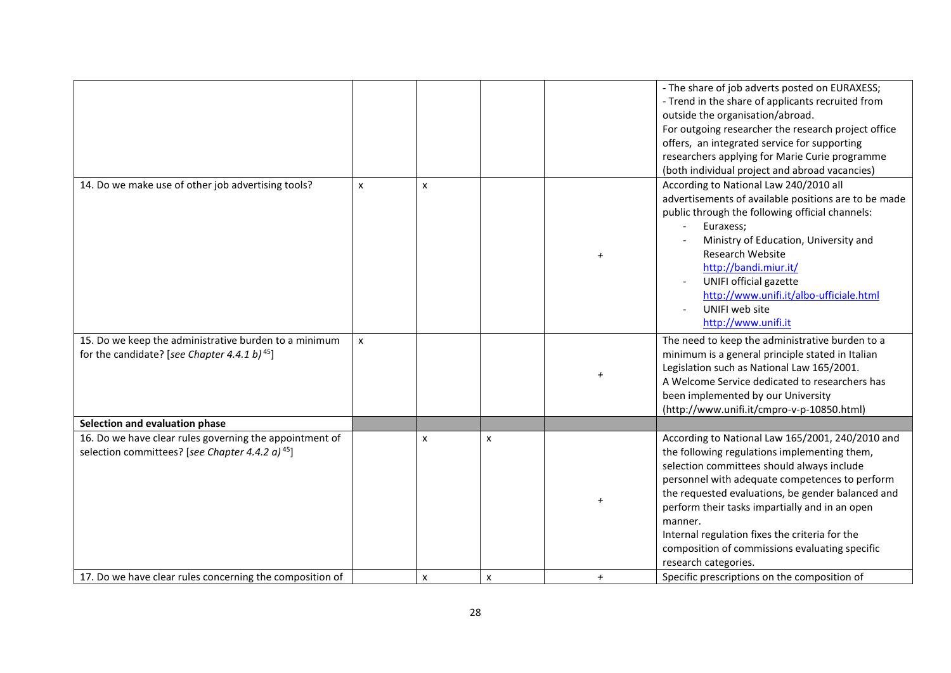|                                                                                                                        |              |   |   |                | - The share of job adverts posted on EURAXESS;<br>- Trend in the share of applicants recruited from<br>outside the organisation/abroad.<br>For outgoing researcher the research project office<br>offers, an integrated service for supporting<br>researchers applying for Marie Curie programme<br>(both individual project and abroad vacancies)                                                                                             |
|------------------------------------------------------------------------------------------------------------------------|--------------|---|---|----------------|------------------------------------------------------------------------------------------------------------------------------------------------------------------------------------------------------------------------------------------------------------------------------------------------------------------------------------------------------------------------------------------------------------------------------------------------|
| 14. Do we make use of other job advertising tools?                                                                     | $\mathsf{x}$ | x |   |                | According to National Law 240/2010 all<br>advertisements of available positions are to be made<br>public through the following official channels:<br>Euraxess;<br>Ministry of Education, University and<br><b>Research Website</b><br>http://bandi.miur.it/<br>UNIFI official gazette<br>http://www.unifi.it/albo-ufficiale.html<br>UNIFI web site<br>http://www.unifi.it                                                                      |
| 15. Do we keep the administrative burden to a minimum<br>for the candidate? [see Chapter 4.4.1 b) <sup>45</sup> ]      | $\mathsf{x}$ |   |   |                | The need to keep the administrative burden to a<br>minimum is a general principle stated in Italian<br>Legislation such as National Law 165/2001.<br>A Welcome Service dedicated to researchers has<br>been implemented by our University<br>(http://www.unifi.it/cmpro-v-p-10850.html)                                                                                                                                                        |
| Selection and evaluation phase                                                                                         |              |   |   |                |                                                                                                                                                                                                                                                                                                                                                                                                                                                |
| 16. Do we have clear rules governing the appointment of<br>selection committees? [see Chapter 4.4.2 a) <sup>45</sup> ] |              | X | x |                | According to National Law 165/2001, 240/2010 and<br>the following regulations implementing them,<br>selection committees should always include<br>personnel with adequate competences to perform<br>the requested evaluations, be gender balanced and<br>perform their tasks impartially and in an open<br>manner.<br>Internal regulation fixes the criteria for the<br>composition of commissions evaluating specific<br>research categories. |
| 17. Do we have clear rules concerning the composition of                                                               |              | x | x | $\overline{+}$ | Specific prescriptions on the composition of                                                                                                                                                                                                                                                                                                                                                                                                   |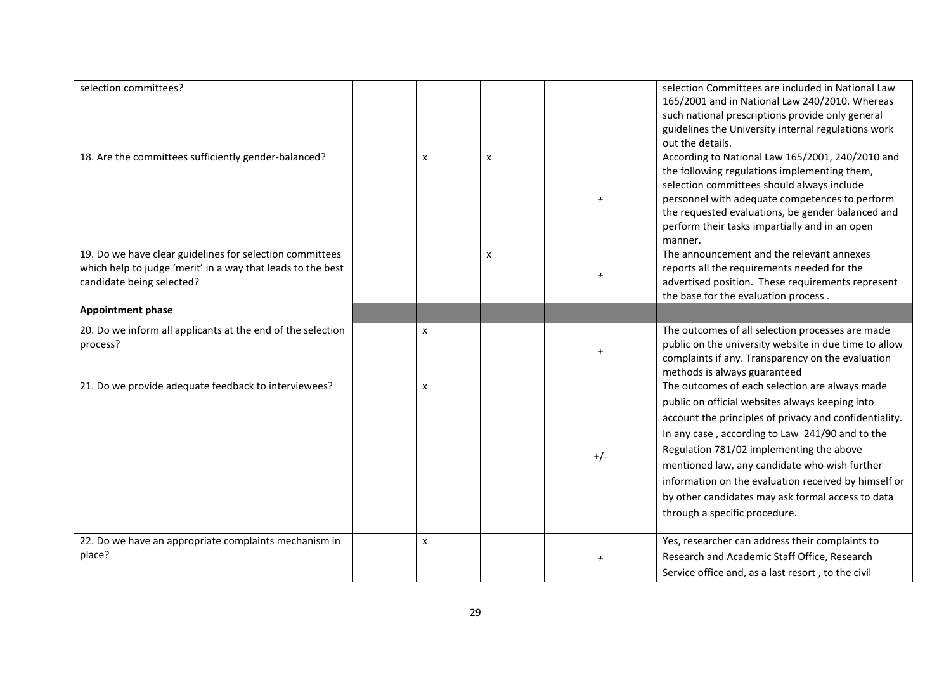| selection committees?                                                                                                                                |   |   |                | selection Committees are included in National Law<br>165/2001 and in National Law 240/2010. Whereas<br>such national prescriptions provide only general<br>guidelines the University internal regulations work<br>out the details.                                                                                                                                                                                                                        |
|------------------------------------------------------------------------------------------------------------------------------------------------------|---|---|----------------|-----------------------------------------------------------------------------------------------------------------------------------------------------------------------------------------------------------------------------------------------------------------------------------------------------------------------------------------------------------------------------------------------------------------------------------------------------------|
| 18. Are the committees sufficiently gender-balanced?                                                                                                 | x | X |                | According to National Law 165/2001, 240/2010 and<br>the following regulations implementing them,<br>selection committees should always include<br>personnel with adequate competences to perform<br>the requested evaluations, be gender balanced and<br>perform their tasks impartially and in an open<br>manner.                                                                                                                                        |
| 19. Do we have clear guidelines for selection committees<br>which help to judge 'merit' in a way that leads to the best<br>candidate being selected? |   | x | $\overline{+}$ | The announcement and the relevant annexes<br>reports all the requirements needed for the<br>advertised position. These requirements represent<br>the base for the evaluation process.                                                                                                                                                                                                                                                                     |
| <b>Appointment phase</b>                                                                                                                             |   |   |                |                                                                                                                                                                                                                                                                                                                                                                                                                                                           |
| 20. Do we inform all applicants at the end of the selection<br>process?                                                                              | x |   |                | The outcomes of all selection processes are made<br>public on the university website in due time to allow<br>complaints if any. Transparency on the evaluation<br>methods is always guaranteed                                                                                                                                                                                                                                                            |
| 21. Do we provide adequate feedback to interviewees?                                                                                                 | x |   | $+/-$          | The outcomes of each selection are always made<br>public on official websites always keeping into<br>account the principles of privacy and confidentiality.<br>In any case, according to Law 241/90 and to the<br>Regulation 781/02 implementing the above<br>mentioned law, any candidate who wish further<br>information on the evaluation received by himself or<br>by other candidates may ask formal access to data<br>through a specific procedure. |
| 22. Do we have an appropriate complaints mechanism in<br>place?                                                                                      | x |   |                | Yes, researcher can address their complaints to<br>Research and Academic Staff Office, Research<br>Service office and, as a last resort, to the civil                                                                                                                                                                                                                                                                                                     |